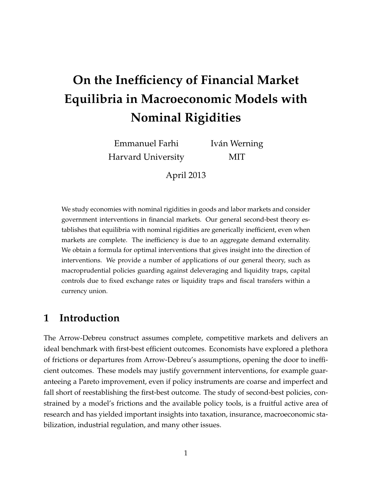# **On the Inefficiency of Financial Market Equilibria in Macroeconomic Models with Nominal Rigidities**

Emmanuel Farhi Harvard University Iván Werning MIT

April 2013

We study economies with nominal rigidities in goods and labor markets and consider government interventions in financial markets. Our general second-best theory establishes that equilibria with nominal rigidities are generically inefficient, even when markets are complete. The inefficiency is due to an aggregate demand externality. We obtain a formula for optimal interventions that gives insight into the direction of interventions. We provide a number of applications of our general theory, such as macroprudential policies guarding against deleveraging and liquidity traps, capital controls due to fixed exchange rates or liquidity traps and fiscal transfers within a currency union.

## **1 Introduction**

The Arrow-Debreu construct assumes complete, competitive markets and delivers an ideal benchmark with first-best efficient outcomes. Economists have explored a plethora of frictions or departures from Arrow-Debreu's assumptions, opening the door to inefficient outcomes. These models may justify government interventions, for example guaranteeing a Pareto improvement, even if policy instruments are coarse and imperfect and fall short of reestablishing the first-best outcome. The study of second-best policies, constrained by a model's frictions and the available policy tools, is a fruitful active area of research and has yielded important insights into taxation, insurance, macroeconomic stabilization, industrial regulation, and many other issues.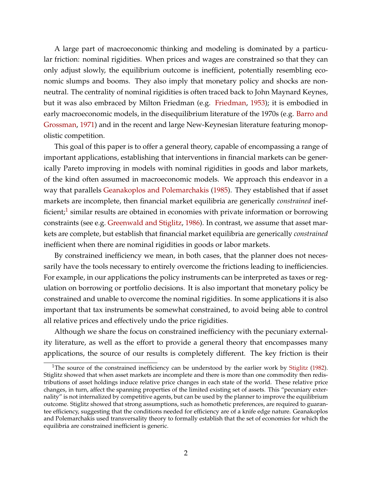A large part of macroeconomic thinking and modeling is dominated by a particular friction: nominal rigidities. When prices and wages are constrained so that they can only adjust slowly, the equilibrium outcome is inefficient, potentially resembling economic slumps and booms. They also imply that monetary policy and shocks are nonneutral. The centrality of nominal rigidities is often traced back to John Maynard Keynes, but it was also embraced by Milton Friedman (e.g. [Friedman,](#page-33-0) [1953\)](#page-33-0); it is embodied in early macroeconomic models, in the disequilibrium literature of the 1970s (e.g. [Barro and](#page-33-1) [Grossman,](#page-33-1) [1971\)](#page-33-1) and in the recent and large New-Keynesian literature featuring monopolistic competition.

This goal of this paper is to offer a general theory, capable of encompassing a range of important applications, establishing that interventions in financial markets can be generically Pareto improving in models with nominal rigidities in goods and labor markets, of the kind often assumed in macroeconomic models. We approach this endeavor in a way that parallels [Geanakoplos and Polemarchakis](#page-34-0) [\(1985\)](#page-34-0). They established that if asset markets are incomplete, then financial market equilibria are generically *constrained* inef-ficient;<sup>[1](#page-1-0)</sup> similar results are obtained in economies with private information or borrowing constraints (see e.g. [Greenwald and Stiglitz,](#page-34-1) [1986\)](#page-34-1). In contrast, we assume that asset markets are complete, but establish that financial market equilibria are generically *constrained* inefficient when there are nominal rigidities in goods or labor markets.

By constrained inefficiency we mean, in both cases, that the planner does not necessarily have the tools necessary to entirely overcome the frictions leading to inefficiencies. For example, in our applications the policy instruments can be interpreted as taxes or regulation on borrowing or portfolio decisions. It is also important that monetary policy be constrained and unable to overcome the nominal rigidities. In some applications it is also important that tax instruments be somewhat constrained, to avoid being able to control all relative prices and effectively undo the price rigidities.

Although we share the focus on constrained inefficiency with the pecuniary externality literature, as well as the effort to provide a general theory that encompasses many applications, the source of our results is completely different. The key friction is their

<span id="page-1-0"></span><sup>&</sup>lt;sup>1</sup>The source of the constrained inefficiency can be understood by the earlier work by [Stiglitz](#page-34-2) [\(1982\)](#page-34-2). Stiglitz showed that when asset markets are incomplete and there is more than one commodity then redistributions of asset holdings induce relative price changes in each state of the world. These relative price changes, in turn, affect the spanning properties of the limited existing set of assets. This "pecuniary externality" is not internalized by competitive agents, but can be used by the planner to improve the equilibrium outcome. Stiglitz showed that strong assumptions, such as homothetic preferences, are required to guarantee efficiency, suggesting that the conditions needed for efficiency are of a knife edge nature. Geanakoplos and Polemarchakis used transversality theory to formally establish that the set of economies for which the equilibria are constrained inefficient is generic.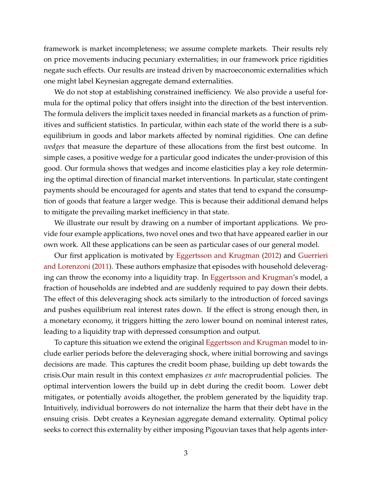framework is market incompleteness; we assume complete markets. Their results rely on price movements inducing pecuniary externalities; in our framework price rigidities negate such effects. Our results are instead driven by macroeconomic externalities which one might label Keynesian aggregate demand externalities.

We do not stop at establishing constrained inefficiency. We also provide a useful formula for the optimal policy that offers insight into the direction of the best intervention. The formula delivers the implicit taxes needed in financial markets as a function of primitives and sufficient statistics. In particular, within each state of the world there is a subequilibrium in goods and labor markets affected by nominal rigidities. One can define *wedges* that measure the departure of these allocations from the first best outcome. In simple cases, a positive wedge for a particular good indicates the under-provision of this good. Our formula shows that wedges and income elasticities play a key role determining the optimal direction of financial market interventions. In particular, state contingent payments should be encouraged for agents and states that tend to expand the consumption of goods that feature a larger wedge. This is because their additional demand helps to mitigate the prevailing market inefficiency in that state.

We illustrate our result by drawing on a number of important applications. We provide four example applications, two novel ones and two that have appeared earlier in our own work. All these applications can be seen as particular cases of our general model.

Our first application is motivated by [Eggertsson and Krugman](#page-33-2) [\(2012\)](#page-33-2) and [Guerrieri](#page-34-3) [and Lorenzoni](#page-34-3) [\(2011\)](#page-34-3). These authors emphasize that episodes with household deleveraging can throw the economy into a liquidity trap. In [Eggertsson and Krugman'](#page-33-2)s model, a fraction of households are indebted and are suddenly required to pay down their debts. The effect of this deleveraging shock acts similarly to the introduction of forced savings and pushes equilibrium real interest rates down. If the effect is strong enough then, in a monetary economy, it triggers hitting the zero lower bound on nominal interest rates, leading to a liquidity trap with depressed consumption and output.

To capture this situation we extend the original [Eggertsson and Krugman](#page-33-2) model to include earlier periods before the deleveraging shock, where initial borrowing and savings decisions are made. This captures the credit boom phase, building up debt towards the crisis.Our main result in this context emphasizes *ex ante* macroprudential policies. The optimal intervention lowers the build up in debt during the credit boom. Lower debt mitigates, or potentially avoids altogether, the problem generated by the liquidity trap. Intuitively, individual borrowers do not internalize the harm that their debt have in the ensuing crisis. Debt creates a Keynesian aggregate demand externality. Optimal policy seeks to correct this externality by either imposing Pigouvian taxes that help agents inter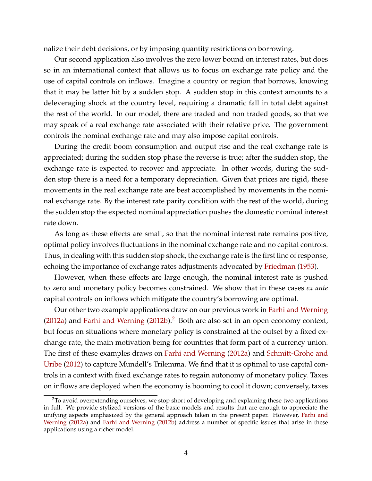nalize their debt decisions, or by imposing quantity restrictions on borrowing.

Our second application also involves the zero lower bound on interest rates, but does so in an international context that allows us to focus on exchange rate policy and the use of capital controls on inflows. Imagine a country or region that borrows, knowing that it may be latter hit by a sudden stop. A sudden stop in this context amounts to a deleveraging shock at the country level, requiring a dramatic fall in total debt against the rest of the world. In our model, there are traded and non traded goods, so that we may speak of a real exchange rate associated with their relative price. The government controls the nominal exchange rate and may also impose capital controls.

During the credit boom consumption and output rise and the real exchange rate is appreciated; during the sudden stop phase the reverse is true; after the sudden stop, the exchange rate is expected to recover and appreciate. In other words, during the sudden stop there is a need for a temporary depreciation. Given that prices are rigid, these movements in the real exchange rate are best accomplished by movements in the nominal exchange rate. By the interest rate parity condition with the rest of the world, during the sudden stop the expected nominal appreciation pushes the domestic nominal interest rate down.

As long as these effects are small, so that the nominal interest rate remains positive, optimal policy involves fluctuations in the nominal exchange rate and no capital controls. Thus, in dealing with this sudden stop shock, the exchange rate is the first line of response, echoing the importance of exchange rates adjustments advocated by [Friedman](#page-33-0) [\(1953\)](#page-33-0).

However, when these effects are large enough, the nominal interest rate is pushed to zero and monetary policy becomes constrained. We show that in these cases *ex ante* capital controls on inflows which mitigate the country's borrowing are optimal.

Our other two example applications draw on our previous work in [Farhi and Werning](#page-33-3) [\(2012a\)](#page-33-3) and [Farhi and Werning](#page-33-4)  $(2012b)$ .<sup>[2](#page-3-0)</sup> Both are also set in an open economy context, but focus on situations where monetary policy is constrained at the outset by a fixed exchange rate, the main motivation being for countries that form part of a currency union. The first of these examples draws on [Farhi and Werning](#page-33-3) [\(2012a\)](#page-33-3) and [Schmitt-Grohe and](#page-34-4) [Uribe](#page-34-4) [\(2012\)](#page-34-4) to capture Mundell's Trilemma. We find that it is optimal to use capital controls in a context with fixed exchange rates to regain autonomy of monetary policy. Taxes on inflows are deployed when the economy is booming to cool it down; conversely, taxes

<span id="page-3-0"></span><sup>&</sup>lt;sup>2</sup>To avoid overextending ourselves, we stop short of developing and explaining these two applications in full. We provide stylized versions of the basic models and results that are enough to appreciate the unifying aspects emphasized by the general approach taken in the present paper. However, [Farhi and](#page-33-3) [Werning](#page-33-3) [\(2012a\)](#page-33-3) and [Farhi and Werning](#page-33-4) [\(2012b\)](#page-33-4) address a number of specific issues that arise in these applications using a richer model.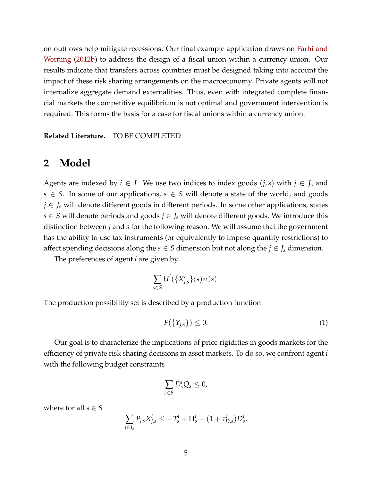on outflows help mitigate recessions. Our final example application draws on [Farhi and](#page-33-4) [Werning](#page-33-4) [\(2012b\)](#page-33-4) to address the design of a fiscal union within a currency union. Our results indicate that transfers across countries must be designed taking into account the impact of these risk sharing arrangements on the macroeconomy. Private agents will not internalize aggregate demand externalities. Thus, even with integrated complete financial markets the competitive equilibrium is not optimal and government intervention is required. This forms the basis for a case for fiscal unions within a currency union.

**Related Literature.** TO BE COMPLETED

#### <span id="page-4-1"></span>**2 Model**

Agents are indexed by  $i \in I$ . We use two indices to index goods  $(j, s)$  with  $j \in J_s$  and *s* ∈ *S*. In some of our applications,  $s \text{ ∈ } S$  will denote a state of the world, and goods *j* ∈ *J*<sub>*s*</sub> will denote different goods in different periods. In some other applications, states *s* ∈ *S* will denote periods and goods *j* ∈ *J<sup>s</sup>* will denote different goods. We introduce this distinction between *j* and *s* for the following reason. We will assume that the government has the ability to use tax instruments (or equivalently to impose quantity restrictions) to affect spending decisions along the  $s \in S$  dimension but not along the  $j \in J_s$  dimension.

The preferences of agent *i* are given by

$$
\sum_{s\in S} U^i(\{X^i_{j,s}\};s)\pi(s).
$$

The production possibility set is described by a production function

<span id="page-4-0"></span>
$$
F(\{Y_{j,s}\}) \le 0. \tag{1}
$$

Our goal is to characterize the implications of price rigidities in goods markets for the efficiency of private risk sharing decisions in asset markets. To do so, we confront agent *i* with the following budget constraints

$$
\sum_{s\in S}D_s^iQ_s\leq 0,
$$

where for all  $s \in S$ 

$$
\sum_{j\in J_s} P_{j,s} X_{j,s}^i \leq -T_s^i + \Pi_s^i + (1 + \tau_{D,s}^i) D_s^i.
$$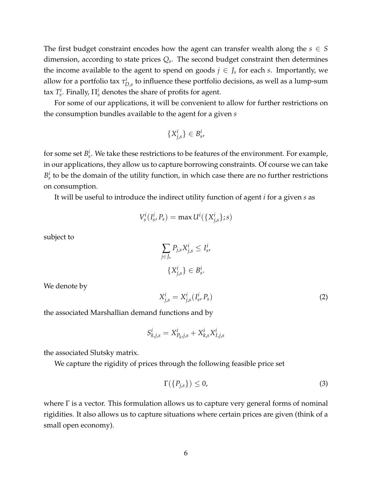The first budget constraint encodes how the agent can transfer wealth along the  $s \in S$ dimension, according to state prices *Q<sup>s</sup>* . The second budget constraint then determines the income available to the agent to spend on goods  $j \in J_s$  for each *s*. Importantly, we allow for a portfolio tax *τ i D*,*s* to influence these portfolio decisions, as well as a lump-sum tax  $T_s^i$ . Finally,  $\Pi_s^i$  denotes the share of profits for agent.

For some of our applications, it will be convenient to allow for further restrictions on the consumption bundles available to the agent for a given *s*

$$
\{X^i_{j,s}\}\in B^i_s,
$$

for some set  $B_s^i$ . We take these restrictions to be features of the environment. For example, in our applications, they allow us to capture borrowing constraints. Of course we can take  $B_s^i$  to be the domain of the utility function, in which case there are no further restrictions on consumption.

It will be useful to introduce the indirect utility function of agent *i* for a given *s* as

$$
V_s^i(I_s^i, P_s) = \max U^i(\{X_{j,s}^i\}; s)
$$

subject to

$$
\sum_{j \in J_s} P_{j,s} X_{j,s}^i \le I_s^i,
$$
  

$$
\{X_{j,s}^i\} \in B_s^i.
$$

We denote by

<span id="page-5-0"></span>
$$
X_{j,s}^i = X_{j,s}^i(I_s^i, P_s)
$$
 (2)

the associated Marshallian demand functions and by

$$
S_{k,j,s}^i = X_{P_k,j,s}^i + X_{k,s}^i X_{I,j,s}^i
$$

the associated Slutsky matrix.

We capture the rigidity of prices through the following feasible price set

<span id="page-5-1"></span>
$$
\Gamma(\{P_{j,s}\}) \le 0,\tag{3}
$$

where Γ is a vector. This formulation allows us to capture very general forms of nominal rigidities. It also allows us to capture situations where certain prices are given (think of a small open economy).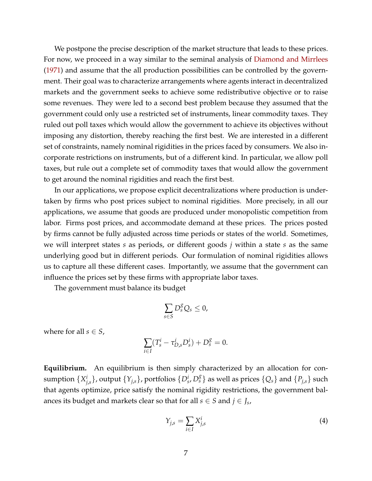We postpone the precise description of the market structure that leads to these prices. For now, we proceed in a way similar to the seminal analysis of [Diamond and Mirrlees](#page-33-5) [\(1971\)](#page-33-5) and assume that the all production possibilities can be controlled by the government. Their goal was to characterize arrangements where agents interact in decentralized markets and the government seeks to achieve some redistributive objective or to raise some revenues. They were led to a second best problem because they assumed that the government could only use a restricted set of instruments, linear commodity taxes. They ruled out poll taxes which would allow the government to achieve its objectives without imposing any distortion, thereby reaching the first best. We are interested in a different set of constraints, namely nominal rigidities in the prices faced by consumers. We also incorporate restrictions on instruments, but of a different kind. In particular, we allow poll taxes, but rule out a complete set of commodity taxes that would allow the government to get around the nominal rigidities and reach the first best.

In our applications, we propose explicit decentralizations where production is undertaken by firms who post prices subject to nominal rigidities. More precisely, in all our applications, we assume that goods are produced under monopolistic competition from labor. Firms post prices, and accommodate demand at these prices. The prices posted by firms cannot be fully adjusted across time periods or states of the world. Sometimes, we will interpret states *s* as periods, or different goods *j* within a state *s* as the same underlying good but in different periods. Our formulation of nominal rigidities allows us to capture all these different cases. Importantly, we assume that the government can influence the prices set by these firms with appropriate labor taxes.

The government must balance its budget

$$
\sum_{s\in S}D_s^gQ_s\leq 0,
$$

where for all  $s \in S$ ,

$$
\sum_{i \in I} (T_s^i - \tau_{D,s}^i D_s^i) + D_s^g = 0.
$$

**Equilibrium.** An equilibrium is then simply characterized by an allocation for consumption {*X i*  $j_{j,s}^i\}$ , output  $\{Y_{j,s}\}$ , portfolios  $\{D_s^i, D_s^g\}$  as well as prices  $\{Q_s\}$  and  $\{P_{j,s}\}$  such that agents optimize, price satisfy the nominal rigidity restrictions, the government balances its budget and markets clear so that for all  $s \in S$  and  $j \in J_s$ ,

<span id="page-6-0"></span>
$$
Y_{j,s} = \sum_{i \in I} X_{j,s}^i \tag{4}
$$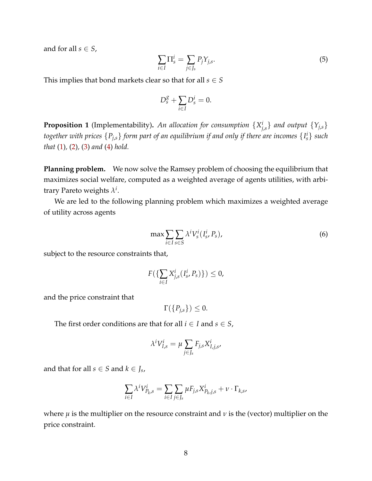and for all  $s \in S$ ,

$$
\sum_{i \in I} \Pi_s^i = \sum_{j \in J_s} P_j Y_{j,s}.\tag{5}
$$

This implies that bond markets clear so that for all  $s \in S$ 

$$
D_s^g + \sum_{i \in I} D_s^i = 0.
$$

<span id="page-7-1"></span>**Proposition 1** (Implementability). An allocation for consumption  $\{X_i^i\}$  $\{f_{j,s}\}$  and output  $\{Y_{j,s}\}$ *together with prices* {*Pj*,*s*} *form part of an equilibrium if and only if there are incomes* {*I i <sup>s</sup>*} *such that* [\(1\)](#page-4-0)*,* [\(2\)](#page-5-0)*,* [\(3\)](#page-5-1) *and* [\(4\)](#page-6-0) *hold.*

**Planning problem.** We now solve the Ramsey problem of choosing the equilibrium that maximizes social welfare, computed as a weighted average of agents utilities, with arbitrary Pareto weights *λ i* .

We are led to the following planning problem which maximizes a weighted average of utility across agents

<span id="page-7-0"></span>
$$
\max \sum_{i \in I} \sum_{s \in S} \lambda^i V_s^i(I_s^i, P_s), \tag{6}
$$

subject to the resource constraints that,

$$
F(\{\sum_{i\in I}X_{j,s}^i(I_s^i,P_s)\})\leq 0,
$$

and the price constraint that

 $\Gamma(\lbrace P_{i,s}\rbrace) \leq 0.$ 

The first order conditions are that for all  $i \in I$  and  $s \in S$ ,

$$
\lambda^i V^i_{I,s} = \mu \sum_{j \in J_s} F_{j,s} X^i_{I,j,s},
$$

and that for all  $s \in S$  and  $k \in J_s$ ,

$$
\sum_{i\in I} \lambda^i V_{P_k,s}^i = \sum_{i\in I} \sum_{j\in J_s} \mu F_{j,s} X_{P_k,j,s}^i + \nu \cdot \Gamma_{k,s},
$$

where  $\mu$  is the multiplier on the resource constraint and  $\nu$  is the (vector) multiplier on the price constraint.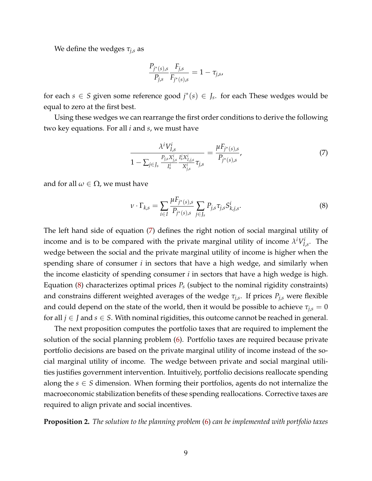We define the wedges  $\tau_{j,s}$  as

$$
\frac{P_{j^*(s),s}}{P_{j,s}} \frac{F_{j,s}}{F_{j^*(s),s}} = 1 - \tau_{j,s},
$$

for each  $s \in S$  given some reference good  $j^*(s) \in J_s$ . for each These wedges would be equal to zero at the first best.

Using these wedges we can rearrange the first order conditions to derive the following two key equations. For all *i* and *s*, we must have

<span id="page-8-0"></span>
$$
\frac{\lambda^i V_{I,s}^i}{1 - \sum_{j \in J_s} \frac{P_{j,s} X_{j,s}^i}{I_s^i} \frac{I_s^i X_{I,j,s}^i}{X_{j,s}^i} \tau_{j,s}} = \frac{\mu F_{j^*(s),s}}{P_{j^*(s),s}},\tag{7}
$$

and for all  $\omega \in \Omega$ , we must have

<span id="page-8-1"></span>
$$
\nu \cdot \Gamma_{k,s} = \sum_{i \in I} \frac{\mu F_{j^*(s),s}}{P_{j^*(s),s}} \sum_{j \in J_s} P_{j,s} \tau_{j,s} S^i_{k,j,s}.
$$
 (8)

The left hand side of equation [\(7\)](#page-8-0) defines the right notion of social marginal utility of income and is to be compared with the private marginal utility of income  $\lambda^i V_I^i$  $I_{l,s}^{\prime}$ . The wedge between the social and the private marginal utility of income is higher when the spending share of consumer *i* in sectors that have a high wedge, and similarly when the income elasticity of spending consumer *i* in sectors that have a high wedge is high. Equation [\(8\)](#page-8-1) characterizes optimal prices *P<sup>s</sup>* (subject to the nominal rigidity constraints) and constrains different weighted averages of the wedge *τj*,*<sup>s</sup>* . If prices *Pj*,*<sup>s</sup>* were flexible and could depend on the state of the world, then it would be possible to achieve  $\tau_{j,s} = 0$ for all  $j \in J$  and  $s \in S$ . With nominal rigidities, this outcome cannot be reached in general.

The next proposition computes the portfolio taxes that are required to implement the solution of the social planning problem [\(6\)](#page-7-0). Portfolio taxes are required because private portfolio decisions are based on the private marginal utility of income instead of the social marginal utility of income. The wedge between private and social marginal utilities justifies government intervention. Intuitively, portfolio decisions reallocate spending along the  $s \in S$  dimension. When forming their portfolios, agents do not internalize the macroeconomic stabilization benefits of these spending reallocations. Corrective taxes are required to align private and social incentives.

<span id="page-8-2"></span>**Proposition 2.** *The solution to the planning problem* [\(6\)](#page-7-0) *can be implemented with portfolio taxes*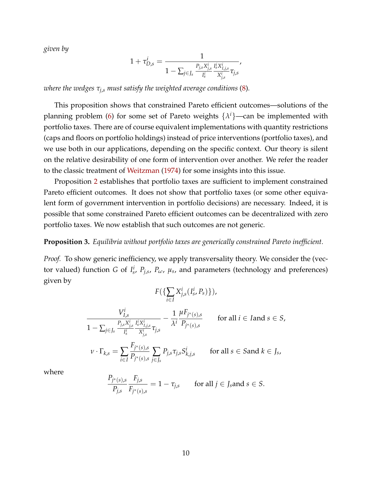*given by*

$$
1+\tau_{D,s}^i = \frac{1}{1-\sum_{j \in J_s} \frac{P_{j,s} X_{j,s}^i}{I_s^i} \frac{I_s^i X_{I,j,s}^i}{X_{j,s}^i} \tau_{j,s}},
$$

*where the wedges τj*,*<sup>s</sup> must satisfy the weighted average conditions* [\(8\)](#page-8-1)*.*

This proposition shows that constrained Pareto efficient outcomes—solutions of the planning problem [\(6\)](#page-7-0) for some set of Pareto weights {*λ <sup>i</sup>*}—can be implemented with portfolio taxes. There are of course equivalent implementations with quantity restrictions (caps and floors on portfolio holdings) instead of price interventions (portfolio taxes), and we use both in our applications, depending on the specific context. Our theory is silent on the relative desirability of one form of intervention over another. We refer the reader to the classic treatment of [Weitzman](#page-34-5) [\(1974\)](#page-34-5) for some insights into this issue.

Proposition [2](#page-8-2) establishes that portfolio taxes are sufficient to implement constrained Pareto efficient outcomes. It does not show that portfolio taxes (or some other equivalent form of government intervention in portfolio decisions) are necessary. Indeed, it is possible that some constrained Pareto efficient outcomes can be decentralized with zero portfolio taxes. We now establish that such outcomes are not generic.

#### **Proposition 3.** *Equilibria without portfolio taxes are generically constrained Pareto inefficient.*

*Proof.* To show generic inefficiency, we apply transversality theory. We consider the (vector valued) function *G* of  $I_s^i$ ,  $P_{j,s}$ ,  $P_{\omega}$ ,  $\mu_s$ , and parameters (technology and preferences) given by

$$
F(\lbrace \sum_{i \in I} X_{j,s}^{i} (I_{s}^{i}, P_{s}) \rbrace),
$$
\n
$$
\frac{V_{I,s}^{i}}{1 - \sum_{j \in J_s} \frac{P_{j,s} X_{j,s}^{i}}{I_{s}^{i}} \frac{I_{s}^{i} X_{I,j,s}^{i}}{X_{j,s}^{i}} \tau_{j,s}} - \frac{1}{\lambda^{i}} \frac{\mu F_{j^{*}(s),s}}{P_{j^{*}(s),s}} \quad \text{for all } i \in I \text{ and } s \in S,
$$
\n
$$
\nu \cdot \Gamma_{k,s} = \sum_{i \in I} \frac{F_{j^{*}(s),s}}{P_{j^{*}(s),s}} \sum_{j \in J_s} P_{j,s} \tau_{j,s} S_{k,j,s}^{i} \quad \text{for all } s \in S \text{and } k \in J_s,
$$

where

$$
\frac{P_{j^*(s),s}}{P_{j,s}} \frac{F_{j,s}}{F_{j^*(s),s}} = 1 - \tau_{j,s} \quad \text{for all } j \in J_s \text{and } s \in S.
$$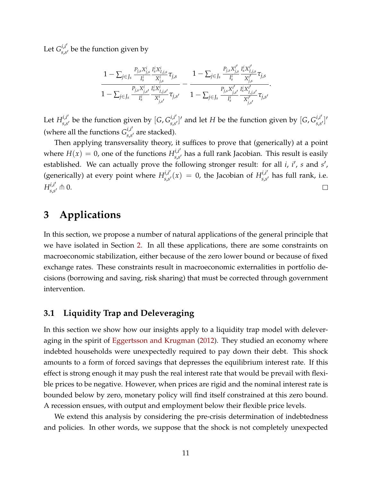Let  $G_{\!}^{i,i'}$  $s_{s,s'}^{U_{t,s'}}$  be the function given by

$$
\frac{1 - \sum_{j \in J_s} \frac{P_{j,s} X_{j,s}^i}{I_s^i} \frac{I_s^i X_{I,j,s}^i}{X_{j,s}^i} \tau_{j,s} }{1 - \sum_{j \in J_s} \frac{P_{j,s} X_{j,s}^i}{I_s^i} \frac{I_s^i X_{I,j,s}^i}{X_{j,s'}^i} \tau_{j,s'} } - \frac{1 - \sum_{j \in J_s} \frac{P_{j,s} X_{j,s}^{i'}}{I_s^i} \frac{I_s^i X_{I,j,s}^{i'}}{X_{j,s'}^i} \tau_{j,s} }{1 - \sum_{j \in J_s} \frac{P_{j,s} X_{j,s'}^{i'}}{I_s^i} \frac{I_s^i X_{I,j,s'}^i}{X_{j,s'}^{i'}} \tau_{j,s'} }.
$$

Let  $H^{i,i'}_{s,s'}$  $\int_{s,s'}^{i,i'}$  be the function given by  $[G,G^{i,i'}_{s,s'}]$  $\int_{s,s'}^{i,l'}$  and let *H* be the function given by [*G*,  $G_{s,s}^{i,l'}$ ] *i*,*i'*,]'<br>s,s' ] (where all the functions  $G_{ss}^{i,i'}$  $s_{s,s'}^{U,U}$  are stacked).

Then applying transversality theory, it suffices to prove that (generically) at a point where  $H(x) = 0$ , one of the functions  $H_{ss}^{i,i'}$  $s_{s}^{l,l}$  has a full rank Jacobian. This result is easily established. We can actually prove the following stronger result: for all *i*, *i'*, *s* and *s'*, (generically) at every point where  $H_{ss}^{i,i'}$  $s_{s} s' (x) = 0$ , the Jacobian of  $H_{s,s}^{i,i'}$  $s_{s,s'}^{U,U}$  has full rank, i.e.  $H^{i,i'}_{\scriptscriptstyle \varsigma\ \scriptscriptstyle \varsigma}$  $s_{s,s'}^{i,i'} \pitchfork 0.$  $\Box$ 

## **3 Applications**

In this section, we propose a number of natural applications of the general principle that we have isolated in Section [2.](#page-4-1) In all these applications, there are some constraints on macroeconomic stabilization, either because of the zero lower bound or because of fixed exchange rates. These constraints result in macroeconomic externalities in portfolio decisions (borrowing and saving, risk sharing) that must be corrected through government intervention.

#### <span id="page-10-0"></span>**3.1 Liquidity Trap and Deleveraging**

In this section we show how our insights apply to a liquidity trap model with deleveraging in the spirit of [Eggertsson and Krugman](#page-33-2) [\(2012\)](#page-33-2). They studied an economy where indebted households were unexpectedly required to pay down their debt. This shock amounts to a form of forced savings that depresses the equilibrium interest rate. If this effect is strong enough it may push the real interest rate that would be prevail with flexible prices to be negative. However, when prices are rigid and the nominal interest rate is bounded below by zero, monetary policy will find itself constrained at this zero bound. A recession ensues, with output and employment below their flexible price levels.

We extend this analysis by considering the pre-crisis determination of indebtedness and policies. In other words, we suppose that the shock is not completely unexpected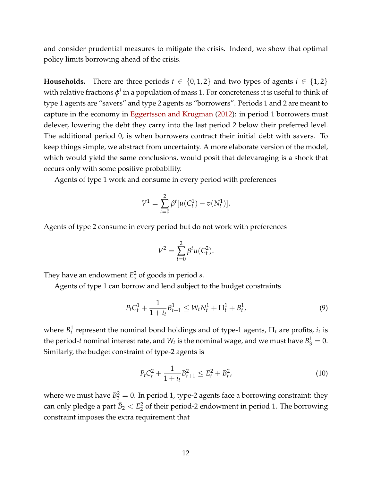and consider prudential measures to mitigate the crisis. Indeed, we show that optimal policy limits borrowing ahead of the crisis.

**Households.** There are three periods  $t \in \{0, 1, 2\}$  and two types of agents  $i \in \{1, 2\}$ with relative fractions  $\phi^i$  in a population of mass 1. For concreteness it is useful to think of type 1 agents are "savers" and type 2 agents as "borrowers". Periods 1 and 2 are meant to capture in the economy in [Eggertsson and Krugman](#page-33-2) [\(2012\)](#page-33-2): in period 1 borrowers must delever, lowering the debt they carry into the last period 2 below their preferred level. The additional period 0, is when borrowers contract their initial debt with savers. To keep things simple, we abstract from uncertainty. A more elaborate version of the model, which would yield the same conclusions, would posit that delevaraging is a shock that occurs only with some positive probability.

Agents of type 1 work and consume in every period with preferences

$$
V^{1} = \sum_{t=0}^{2} \beta^{t} [u(C_{t}^{1}) - v(N_{t}^{1})].
$$

Agents of type 2 consume in every period but do not work with preferences

$$
V^{2} = \sum_{t=0}^{2} \beta^{t} u(C_{t}^{2}).
$$

They have an endowment  $E_s^2$  of goods in period *s*.

Agents of type 1 can borrow and lend subject to the budget constraints

<span id="page-11-0"></span>
$$
P_t C_t^1 + \frac{1}{1+i_t} B_{t+1}^1 \le W_t N_t^1 + \Pi_t^1 + B_t^1,\tag{9}
$$

where  $B_t^1$  represent the nominal bond holdings and of type-1 agents,  $\Pi_t$  are profits,  $i_t$  is the period-*t* nominal interest rate, and  $W_t$  is the nominal wage, and we must have  $B_3^1=0$ . Similarly, the budget constraint of type-2 agents is

$$
P_t C_t^2 + \frac{1}{1+i_t} B_{t+1}^2 \le E_t^2 + B_t^2, \tag{10}
$$

where we must have  $B_3^2 = 0$ . In period 1, type-2 agents face a borrowing constraint: they can only pledge a part  $\bar{B}_2 < E_2^2$  $\frac{2}{2}$  of their period-2 endowment in period 1. The borrowing constraint imposes the extra requirement that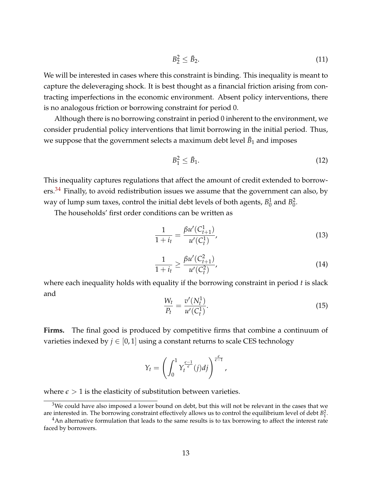$$
B_2^2 \leq \bar{B}_2. \tag{11}
$$

We will be interested in cases where this constraint is binding. This inequality is meant to capture the deleveraging shock. It is best thought as a financial friction arising from contracting imperfections in the economic environment. Absent policy interventions, there is no analogous friction or borrowing constraint for period 0.

Although there is no borrowing constraint in period 0 inherent to the environment, we consider prudential policy interventions that limit borrowing in the initial period. Thus, we suppose that the government selects a maximum debt level  $\bar{B}_1$  and imposes

$$
B_1^2 \le \bar{B}_1. \tag{12}
$$

This inequality captures regulations that affect the amount of credit extended to borrowers. $34$  $34$  Finally, to avoid redistribution issues we assume that the government can also, by way of lump sum taxes*,* control the initial debt levels of both agents,  $B_0^1$  $_0^1$  and  $B_0^2$  $\frac{2}{0}$ .

The households' first order conditions can be written as

<span id="page-12-2"></span>
$$
\frac{1}{1+i_t} = \frac{\beta u'(C_{t+1}^1)}{u'(C_t^1)},
$$
\n(13)

$$
\frac{1}{1+i_t} \ge \frac{\beta u'(C_{t+1}^2)}{u'(C_t^2)},\tag{14}
$$

where each inequality holds with equality if the borrowing constraint in period *t* is slack and

<span id="page-12-3"></span>
$$
\frac{W_t}{P_t} = \frac{v'(N_t^1)}{u'(C_t^1)}.
$$
\n(15)

**Firms.** The final good is produced by competitive firms that combine a continuum of varieties indexed by  $j \in [0,1]$  using a constant returns to scale CES technology

$$
Y_t = \left(\int_0^1 Y_t^{\frac{\epsilon-1}{\epsilon}}(j)dj\right)^{\frac{\epsilon}{\epsilon-1}},
$$

where  $\epsilon > 1$  is the elasticity of substitution between varieties.

<span id="page-12-0"></span> $3$ We could have also imposed a lower bound on debt, but this will not be relevant in the cases that we are interested in. The borrowing constraint effectively allows us to control the equilibrium level of debt  $B_1^2$ .

<span id="page-12-1"></span> $4$ An alternative formulation that leads to the same results is to tax borrowing to affect the interest rate faced by borrowers.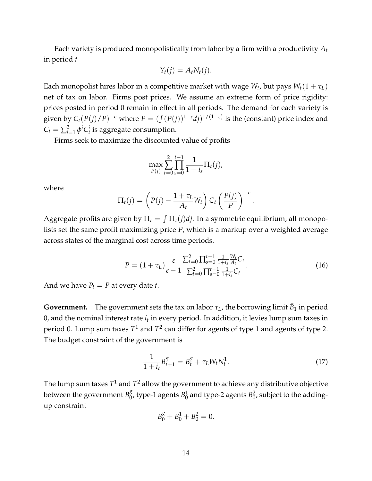Each variety is produced monopolistically from labor by a firm with a productivity *A<sup>t</sup>* in period *t*

$$
Y_t(j) = A_t N_t(j).
$$

Each monopolist hires labor in a competitive market with wage  $W_t$ , but pays  $W_t(1+\tau_L)$ net of tax on labor. Firms post prices. We assume an extreme form of price rigidity: prices posted in period 0 remain in effect in all periods. The demand for each variety is given by  $C_t(P(j)/P)^{-\epsilon}$  where  $P = (\int (P(j))^{1-\epsilon}dj)^{1/(1-\epsilon)}$  is the (constant) price index and  $C_t = \sum_{i=1}^2 \phi^i C_t^i$  is aggregate consumption.

Firms seek to maximize the discounted value of profits

$$
\max_{P(j)} \sum_{t=0}^{2} \prod_{s=0}^{t-1} \frac{1}{1+i_s} \Pi_t(j),
$$

where

$$
\Pi_t(j) = \left(P(j) - \frac{1 + \tau_L}{A_t} W_t\right) C_t \left(\frac{P(j)}{P}\right)^{-\epsilon}
$$

Aggregate profits are given by  $\Pi_t = \int \Pi_t(j)dj$ . In a symmetric equilibrium, all monopolists set the same profit maximizing price *P*, which is a markup over a weighted average across states of the marginal cost across time periods.

<span id="page-13-0"></span>
$$
P = (1 + \tau_L) \frac{\varepsilon}{\varepsilon - 1} \frac{\sum_{t=0}^{2} \prod_{s=0}^{t-1} \frac{1}{1 + i_s} \frac{W_t}{A_t} C_t}{\sum_{t=0}^{2} \prod_{s=0}^{t-1} \frac{1}{1 + i_s} C_t}.
$$
 (16)

.

And we have  $P_t = P$  at every date *t*.

**Government.** The government sets the tax on labor  $\tau_L$ , the borrowing limit  $\bar{B}_1$  in period 0, and the nominal interest rate  $i_t$  in every period. In addition, it levies lump sum taxes in period 0. Lump sum taxes  $T^1$  and  $T^2$  can differ for agents of type 1 and agents of type 2. The budget constraint of the government is

$$
\frac{1}{1+i_t}B_{t+1}^g = B_t^g + \tau_L W_t N_t^1. \tag{17}
$$

The lump sum taxes  $T^1$  and  $T^2$  allow the government to achieve any distributive objective between the government  $B_0^g$  $_0^g$ , type-1 agents  $B_0^1$  $\frac{1}{0}$  and type-2 agents  $B_0^2$  $_0^2$ , subject to the addingup constraint

$$
B_0^g + B_0^1 + B_0^2 = 0.
$$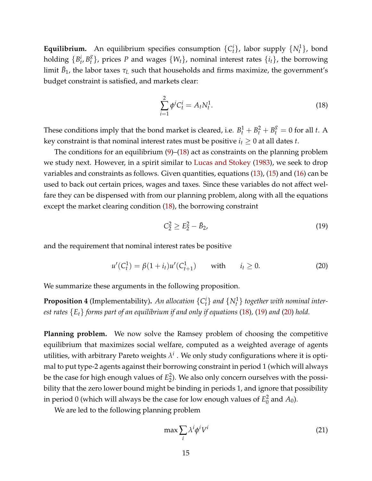**Equilibrium.** An equilibrium specifies consumption  $\{C_t^i\}$ , labor supply  $\{N_t^1\}$ , bond holding  $\{B_t^i, B_t^g\}$  $\{^{8}_{t}\}$ , prices *P* and wages  $\{W_{t}\}$ , nominal interest rates  $\{i_{t}\}$ , the borrowing  $\lim$ it  $\bar{B}_1$ , the labor taxes  $\tau_L$  such that households and firms maximize, the government's budget constraint is satisfied, and markets clear:

<span id="page-14-0"></span>
$$
\sum_{i=1}^{2} \phi^i C_t^i = A_t N_t^1.
$$
\n(18)

These conditions imply that the bond market is cleared, i.e.  $B_t^1 + B_t^2 + B_t^g = 0$  for all *t*. A key constraint is that nominal interest rates must be positive  $i_t \geq 0$  at all dates *t*.

The conditions for an equilibrium [\(9\)](#page-11-0)–[\(18\)](#page-14-0) act as constraints on the planning problem we study next. However, in a spirit similar to [Lucas and Stokey](#page-34-6) [\(1983\)](#page-34-6), we seek to drop variables and constraints as follows. Given quantities, equations [\(13\)](#page-12-2), [\(15\)](#page-12-3) and [\(16\)](#page-13-0) can be used to back out certain prices, wages and taxes. Since these variables do not affect welfare they can be dispensed with from our planning problem, along with all the equations except the market clearing condition [\(18\)](#page-14-0), the borrowing constraint

<span id="page-14-1"></span>
$$
C_2^2 \ge E_2^2 - \bar{B}_2,\tag{19}
$$

and the requirement that nominal interest rates be positive

<span id="page-14-2"></span>
$$
u'(C_t^1) = \beta(1 + i_t)u'(C_{t+1}^1) \quad \text{with} \quad i_t \ge 0. \tag{20}
$$

We summarize these arguments in the following proposition.

**Proposition 4** (Implementability). An allocation  $\{C_t^i\}$  and  $\{N_t^1\}$  together with nominal inter*est rates* {*Et*} *forms part of an equilibrium if and only if equations* [\(18\)](#page-14-0)*,* [\(19\)](#page-14-1) *and* [\(20\)](#page-14-2) *hold.*

**Planning problem.** We now solve the Ramsey problem of choosing the competitive equilibrium that maximizes social welfare, computed as a weighted average of agents utilities, with arbitrary Pareto weights  $\lambda^i$  . We only study configurations where it is optimal to put type-2 agents against their borrowing constraint in period 1 (which will always be the case for high enough values of *E* 2  $_2^2$ ). We also only concern ourselves with the possibility that the zero lower bound might be binding in periods 1, and ignore that possibility in period 0 (which will always be the case for low enough values of  $E_0^2$  $\frac{2}{0}$  and  $A_0$ ).

We are led to the following planning problem

<span id="page-14-3"></span>
$$
\max \sum_{i} \lambda^{i} \phi^{i} V^{i}
$$
 (21)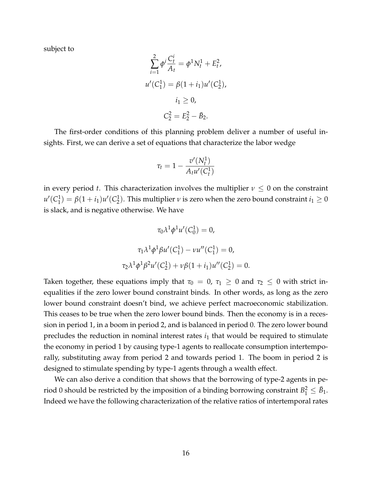subject to

$$
\sum_{i=1}^{2} \phi^{i} \frac{C_{t}^{i}}{A_{t}} = \phi^{1} N_{t}^{1} + E_{t}^{2},
$$
  

$$
u'(C_{1}^{1}) = \beta (1 + i_{1}) u'(C_{2}^{1}),
$$
  

$$
i_{1} \ge 0,
$$
  

$$
C_{2}^{2} = E_{2}^{2} - \bar{B}_{2}.
$$

The first-order conditions of this planning problem deliver a number of useful insights. First, we can derive a set of equations that characterize the labor wedge

$$
\tau_t = 1 - \frac{v'(N_t^1)}{A_t u'(C_t^1)}
$$

in every period *t*. This characterization involves the multiplier  $\nu \leq 0$  on the constraint  $u'(\mathcal{C}^1_1)$  $j_1^1$ ) =  $\beta(1+i_1)u'(C_2^1)$  $\binom{1}{2}$ . This multiplier *ν* is zero when the zero bound constraint  $i_1 \geq 0$ is slack, and is negative otherwise. We have

$$
\tau_0 \lambda^1 \phi^1 u'(C_0^1) = 0,
$$
  

$$
\tau_1 \lambda^1 \phi^1 \beta u'(C_1^1) - \nu u''(C_1^1) = 0,
$$
  

$$
\tau_2 \lambda^1 \phi^1 \beta^2 u'(C_2^1) + \nu \beta (1 + i_1) u''(C_2^1) = 0.
$$

Taken together, these equations imply that  $\tau_0 = 0$ ,  $\tau_1 \geq 0$  and  $\tau_2 \leq 0$  with strict inequalities if the zero lower bound constraint binds. In other words, as long as the zero lower bound constraint doesn't bind, we achieve perfect macroeconomic stabilization. This ceases to be true when the zero lower bound binds. Then the economy is in a recession in period 1, in a boom in period 2, and is balanced in period 0. The zero lower bound precludes the reduction in nominal interest rates  $i_1$  that would be required to stimulate the economy in period 1 by causing type-1 agents to reallocate consumption intertemporally, substituting away from period 2 and towards period 1. The boom in period 2 is designed to stimulate spending by type-1 agents through a wealth effect.

We can also derive a condition that shows that the borrowing of type-2 agents in period 0 should be restricted by the imposition of a binding borrowing constraint  $B_1^2 \leq \bar{B}_1$ . Indeed we have the following characterization of the relative ratios of intertemporal rates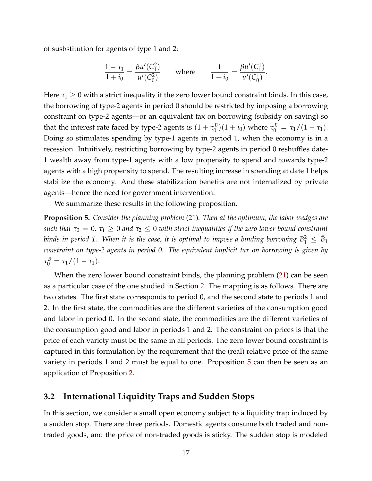of susbstitution for agents of type 1 and 2:

$$
\frac{1-\tau_1}{1+i_0} = \frac{\beta u'(C_1^2)}{u'(C_0^2)} \quad \text{where} \quad \frac{1}{1+i_0} = \frac{\beta u'(C_1^1)}{u'(C_0^1)}.
$$

Here  $\tau_1 \geq 0$  with a strict inequality if the zero lower bound constraint binds. In this case, the borrowing of type-2 agents in period 0 should be restricted by imposing a borrowing constraint on type-2 agents—or an equivalent tax on borrowing (subsidy on saving) so that the interest rate faced by type-2 agents is  $(1+\tau_0^B)$  $(\tau_0^B)(1 + i_0)$  where  $\tau_0^B = \tau_1/(1 - \tau_1)$ . Doing so stimulates spending by type-1 agents in period 1, when the economy is in a recession. Intuitively, restricting borrowing by type-2 agents in period 0 reshuffles date-1 wealth away from type-1 agents with a low propensity to spend and towards type-2 agents with a high propensity to spend. The resulting increase in spending at date 1 helps stabilize the economy. And these stabilization benefits are not internalized by private agents—hence the need for government intervention.

We summarize these results in the following proposition.

<span id="page-16-0"></span>**Proposition 5.** *Consider the planning problem* [\(21\)](#page-14-3)*. Then at the optimum, the labor wedges are such that*  $\tau_0 = 0$ ,  $\tau_1 \geq 0$  *and*  $\tau_2 \leq 0$  *with strict inequalities if the zero lower bound constraint* binds in period 1. When it is the case, it is optimal to impose a binding borrowing  $B_1^2\,\leq\, \bar B_1$ *constraint on type-2 agents in period 0. The equivalent implicit tax on borrowing is given by*  $\tau_0^B = \tau_1/(1-\tau_1)$ .

When the zero lower bound constraint binds, the planning problem [\(21\)](#page-14-3) can be seen as a particular case of the one studied in Section [2.](#page-4-1) The mapping is as follows. There are two states. The first state corresponds to period 0, and the second state to periods 1 and 2. In the first state, the commodities are the different varieties of the consumption good and labor in period 0. In the second state, the commodities are the different varieties of the consumption good and labor in periods 1 and 2. The constraint on prices is that the price of each variety must be the same in all periods. The zero lower bound constraint is captured in this formulation by the requirement that the (real) relative price of the same variety in periods 1 and 2 must be equal to one. Proposition [5](#page-16-0) can then be seen as an application of Proposition [2.](#page-8-2)

#### <span id="page-16-1"></span>**3.2 International Liquidity Traps and Sudden Stops**

In this section, we consider a small open economy subject to a liquidity trap induced by a sudden stop. There are three periods. Domestic agents consume both traded and nontraded goods, and the price of non-traded goods is sticky. The sudden stop is modeled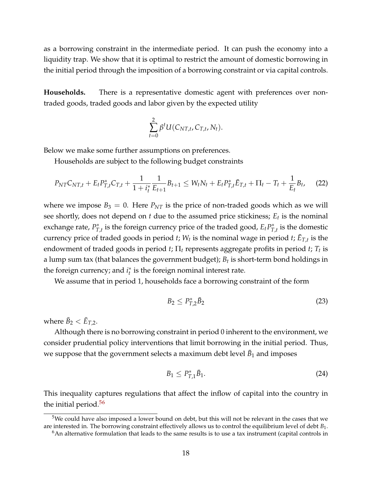as a borrowing constraint in the intermediate period. It can push the economy into a liquidity trap. We show that it is optimal to restrict the amount of domestic borrowing in the initial period through the imposition of a borrowing constraint or via capital controls.

**Households.** There is a representative domestic agent with preferences over nontraded goods, traded goods and labor given by the expected utility

$$
\sum_{t=0}^2 \beta^t U(C_{NT,t}, C_{T,t}, N_t).
$$

Below we make some further assumptions on preferences.

Households are subject to the following budget constraints

<span id="page-17-2"></span>
$$
P_{NT}C_{NT,t} + E_t P_{T,t}^* C_{T,t} + \frac{1}{1+i_t^*} \frac{1}{E_{t+1}} B_{t+1} \le W_t N_t + E_t P_{T,t}^* \bar{E}_{T,t} + \Pi_t - T_t + \frac{1}{E_t} B_t,\tag{22}
$$

where we impose  $B_3 = 0$ . Here  $P_{NT}$  is the price of non-traded goods which as we will see shortly, does not depend on *t* due to the assumed price stickiness; *E<sup>t</sup>* is the nominal exchange rate, *P* ∗  $T_{t}$ <sup>\*</sup>, is the foreign currency price of the traded good,  $E_{t}P_{T}^{*}$  $T_{,t}$  is the domestic currency price of traded goods in period *t*;  $W_t$  is the nominal wage in period *t*;  $\bar{E}_{T,t}$  is the endowment of traded goods in period *t*; Π*<sup>t</sup>* represents aggregate profits in period *t*; *T<sup>t</sup>* is a lump sum tax (that balances the government budget);  $B_t$  is short-term bond holdings in the foreign currency; and *i* ∗ *t* is the foreign nominal interest rate.

We assume that in period 1, households face a borrowing constraint of the form

$$
B_2 \le P_{T,2}^* \bar{B}_2 \tag{23}
$$

where  $\bar{B}_2 < \bar{E}_{T,2}$ .

Although there is no borrowing constraint in period 0 inherent to the environment, we consider prudential policy interventions that limit borrowing in the initial period. Thus, we suppose that the government selects a maximum debt level  $\bar{B}_1$  and imposes

$$
B_1 \le P_{T,1}^* \bar{B}_1. \tag{24}
$$

This inequality captures regulations that affect the inflow of capital into the country in the initial period.<sup>[5](#page-17-0)[6](#page-17-1)</sup>

<span id="page-17-0"></span> $5$ We could have also imposed a lower bound on debt, but this will not be relevant in the cases that we are interested in. The borrowing constraint effectively allows us to control the equilibrium level of debt *B*1.

<span id="page-17-1"></span> $6$ An alternative formulation that leads to the same results is to use a tax instrument (capital controls in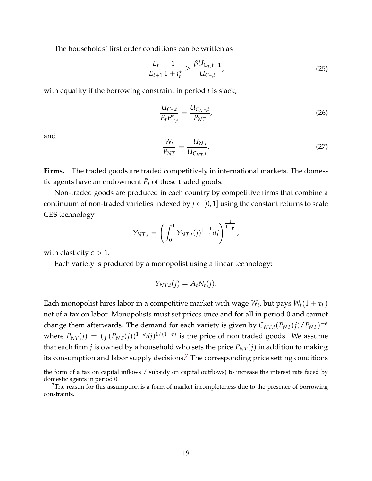The households' first order conditions can be written as

<span id="page-18-1"></span>
$$
\frac{E_t}{E_{t+1}} \frac{1}{1+i_t^*} \ge \frac{\beta U_{C_T,t+1}}{U_{C_T,t}},
$$
\n(25)

with equality if the borrowing constraint in period *t* is slack,

<span id="page-18-3"></span>
$$
\frac{U_{C_T,t}}{E_t P_{T,t}^*} = \frac{U_{C_{NT},t}}{P_{NT}},
$$
\n(26)

and

<span id="page-18-2"></span>
$$
\frac{W_t}{P_{NT}} = \frac{-U_{N,t}}{U_{C_{NT},t}}.\tag{27}
$$

**Firms.** The traded goods are traded competitively in international markets. The domestic agents have an endowment  $\bar{E}_t$  of these traded goods.

Non-traded goods are produced in each country by competitive firms that combine a continuum of non-traded varieties indexed by  $j \in [0, 1]$  using the constant returns to scale CES technology

$$
Y_{NT,t} = \left(\int_0^1 Y_{NT,t}(j)^{1-\frac{1}{\epsilon}}dj\right)^{\frac{1}{1-\frac{1}{\epsilon}}},
$$

with elasticity  $\epsilon > 1$ .

Each variety is produced by a monopolist using a linear technology:

$$
Y_{NT,t}(j) = A_t N_t(j).
$$

Each monopolist hires labor in a competitive market with wage  $W_t$ , but pays  $W_t(1+\tau_L)$ net of a tax on labor. Monopolists must set prices once and for all in period 0 and cannot change them afterwards. The demand for each variety is given by  $C_{NT,t}(P_{NT}(j)/P_{NT})^{-\epsilon}$ where  $P_{NT}(j) = (\int (P_{NT}(j))^{1-\epsilon}dj)^{1/(1-\epsilon)}$  is the price of non traded goods. We assume that each firm *j* is owned by a household who sets the price  $P_{NT}(j)$  in addition to making its consumption and labor supply decisions.<sup>[7](#page-18-0)</sup> The corresponding price setting conditions

the form of a tax on capital inflows / subsidy on capital outflows) to increase the interest rate faced by domestic agents in period 0.

<span id="page-18-0"></span><sup>&</sup>lt;sup>7</sup>The reason for this assumption is a form of market incompleteness due to the presence of borrowing constraints.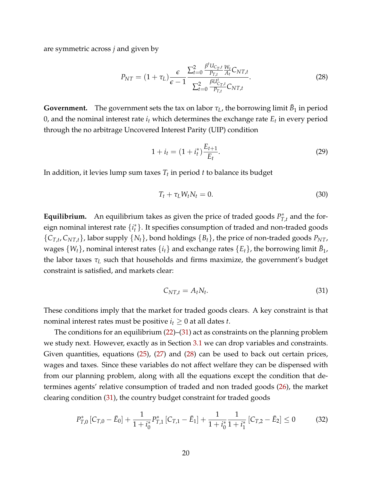are symmetric across *j* and given by

<span id="page-19-1"></span>
$$
P_{NT} = (1 + \tau_L) \frac{\epsilon}{\epsilon - 1} \frac{\sum_{t=0}^{2} \frac{\beta^t U_{C_{T,t}}}{P_{T,t}} \frac{W_t}{A_t} C_{NT,t}}{\sum_{t=0}^{2} \frac{\beta U_{C_{T,t}}^t}{P_{T,t}} C_{NT,t}}.
$$
(28)

**Government.** The government sets the tax on labor  $\tau_L$ , the borrowing limit  $\bar{B}_1$  in period 0, and the nominal interest rate *i<sup>t</sup>* which determines the exchange rate *E<sup>t</sup>* in every period through the no arbitrage Uncovered Interest Parity (UIP) condition

$$
1 + i_t = (1 + i_t^*) \frac{E_{t+1}}{E_t}.
$$
\n(29)

In addition, it levies lump sum taxes *T<sup>t</sup>* in period *t* to balance its budget

$$
T_t + \tau_L W_t N_t = 0. \tag{30}
$$

**Equilibrium.** An equilibrium takes as given the price of traded goods  $P_T^*$  $T_{,t}^*$  and the foreign nominal interest rate {*i* ∗ *t* }. It specifies consumption of traded and non-traded goods  ${C_{T,t}, C_{NT,t}}$ , labor supply  ${N_t}$ , bond holdings  ${B_t}$ , the price of non-traded goods  $P_{NT}$ , wages  $\{W_t\}$ , nominal interest rates  $\{i_t\}$  and exchange rates  $\{E_t\}$ , the borrowing limit  $\bar{B}_1$ , the labor taxes *τ<sup>L</sup>* such that households and firms maximize, the government's budget constraint is satisfied, and markets clear:

<span id="page-19-0"></span>
$$
C_{NT,t} = A_t N_t. \tag{31}
$$

These conditions imply that the market for traded goods clears. A key constraint is that nominal interest rates must be positive  $i_t \geq 0$  at all dates *t*.

The conditions for an equilibrium  $(22)$ – $(31)$  act as constraints on the planning problem we study next. However, exactly as in Section [3.1](#page-10-0) we can drop variables and constraints. Given quantities, equations [\(25\)](#page-18-1), [\(27\)](#page-18-2) and [\(28\)](#page-19-1) can be used to back out certain prices, wages and taxes. Since these variables do not affect welfare they can be dispensed with from our planning problem, along with all the equations except the condition that determines agents' relative consumption of traded and non traded goods [\(26\)](#page-18-3), the market clearing condition [\(31\)](#page-19-0), the country budget constraint for traded goods

<span id="page-19-2"></span>
$$
P_{T,0}^*\left[C_{T,0}-\bar{E}_0\right]+\frac{1}{1+i_0^*}P_{T,1}^*\left[C_{T,1}-\bar{E}_1\right]+\frac{1}{1+i_0^*}\frac{1}{1+i_1^*}\left[C_{T,2}-\bar{E}_2\right]\leq 0\tag{32}
$$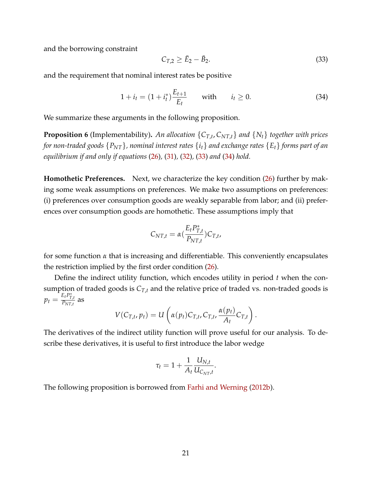and the borrowing constraint

<span id="page-20-0"></span>
$$
C_{T,2} \ge \bar{E}_2 - \bar{B}_2. \tag{33}
$$

and the requirement that nominal interest rates be positive

<span id="page-20-1"></span>
$$
1 + i_t = (1 + i_t^*) \frac{E_{t+1}}{E_t} \quad \text{with} \quad i_t \ge 0. \tag{34}
$$

We summarize these arguments in the following proposition.

**Proposition 6** (Implementability)**.** *An allocation* {*CT*,*<sup>t</sup>* , *CNT*,*t*} *and* {*Nt*} *together with prices for non-traded goods*  $\{P_{NT}\}$ *, nominal interest rates*  $\{i_t\}$  *and exchange rates*  $\{E_t\}$  *forms part of an equilibrium if and only if equations* [\(26\)](#page-18-3)*,* [\(31\)](#page-19-0)*,* [\(32\)](#page-19-2)*,* [\(33\)](#page-20-0) *and* [\(34\)](#page-20-1) *hold.*

**Homothetic Preferences.** Next, we characterize the key condition [\(26\)](#page-18-3) further by making some weak assumptions on preferences. We make two assumptions on preferences: (i) preferences over consumption goods are weakly separable from labor; and (ii) preferences over consumption goods are homothetic. These assumptions imply that

$$
C_{NT,t} = \alpha \left(\frac{E_t P_{T,t}^*}{P_{NT,t}}\right) C_{T,t},
$$

for some function *α* that is increasing and differentiable. This conveniently encapsulates the restriction implied by the first order condition [\(26\)](#page-18-3).

Define the indirect utility function, which encodes utility in period *t* when the consumption of traded goods is  $C_{T,t}$  and the relative price of traded vs. non-traded goods is  $p_t = \frac{E_t P_{T,t}^*}{P_{NT,t}}$  as

$$
V(C_{T,t}, p_t) = U\left(\alpha(p_t)C_{T,t}, C_{T,t}, \frac{\alpha(p_t)}{A_t}C_{T,t}\right).
$$

The derivatives of the indirect utility function will prove useful for our analysis. To describe these derivatives, it is useful to first introduce the labor wedge

$$
\tau_t = 1 + \frac{1}{A_t} \frac{U_{N,t}}{U_{C_{NT},t}}.
$$

The following proposition is borrowed from [Farhi and Werning](#page-33-4) [\(2012b\)](#page-33-4).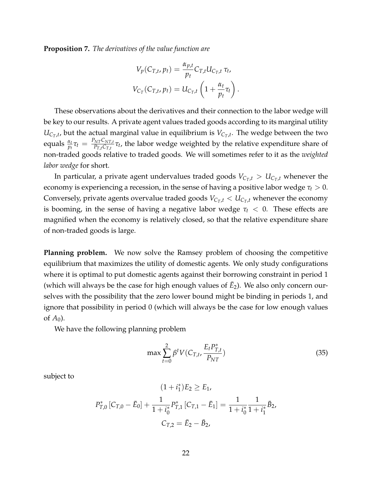<span id="page-21-1"></span>**Proposition 7.** *The derivatives of the value function are*

$$
V_p(C_{T,t}, p_t) = \frac{\alpha_{p,t}}{p_t} C_{T,t} U_{C_T,t} \tau_t,
$$
  

$$
V_{C_T}(C_{T,t}, p_t) = U_{C_T,t} \left(1 + \frac{\alpha_t}{p_t} \tau_t\right).
$$

These observations about the derivatives and their connection to the labor wedge will be key to our results. A private agent values traded goods according to its marginal utility  $U_{C_T,t}$ , but the actual marginal value in equilibrium is  $V_{C_T,t}$ . The wedge between the two  $\text{equals } \frac{\alpha_t}{p_t}\tau_t = \frac{P_{NT}C_{NT,t}}{P_{T,t}C_{T,t}}$  $\frac{N_{I}C_{N_{I},t}}{P_{T,t}C_{T,t}}\tau_{t}$ , the labor wedge weighted by the relative expenditure share of non-traded goods relative to traded goods. We will sometimes refer to it as the *weighted labor wedge* for short.

In particular, a private agent undervalues traded goods  $V_{C_T,t} > U_{C_T,t}$  whenever the economy is experiencing a recession, in the sense of having a positive labor wedge  $\tau_t > 0$ . Conversely, private agents overvalue traded goods  $V_{C_T,t} < U_{C_T,t}$  whenever the economy is booming, in the sense of having a negative labor wedge  $\tau_t < 0$ . These effects are magnified when the economy is relatively closed, so that the relative expenditure share of non-traded goods is large.

**Planning problem.** We now solve the Ramsey problem of choosing the competitive equilibrium that maximizes the utility of domestic agents. We only study configurations where it is optimal to put domestic agents against their borrowing constraint in period 1 (which will always be the case for high enough values of  $\bar{E}_2$ ). We also only concern ourselves with the possibility that the zero lower bound might be binding in periods 1, and ignore that possibility in period 0 (which will always be the case for low enough values of  $A_0$ ).

We have the following planning problem

<span id="page-21-0"></span>
$$
\max \sum_{t=0}^{2} \beta^t V(C_{T,t}, \frac{E_t P_{T,t}^*}{P_{NT}})
$$
\n(35)

subject to

$$
(1 + i_1^*)E_2 \ge E_1,
$$
  

$$
P_{T,0}^*[C_{T,0} - \bar{E}_0] + \frac{1}{1 + i_0^*} P_{T,1}^*[C_{T,1} - \bar{E}_1] = \frac{1}{1 + i_0^*} \frac{1}{1 + i_1^*} \bar{B}_2,
$$
  

$$
C_{T,2} = \bar{E}_2 - \bar{B}_2,
$$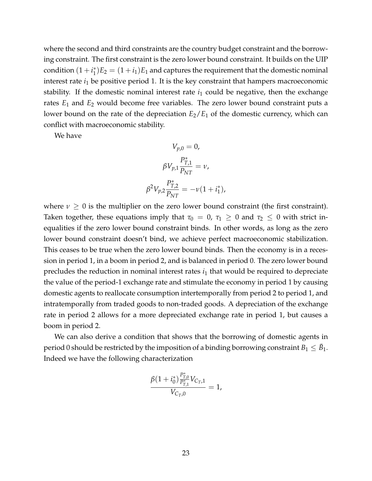where the second and third constraints are the country budget constraint and the borrowing constraint. The first constraint is the zero lower bound constraint. It builds on the UIP  $\text{condition } (1 + i_1^*)$  $j_1^*$ ) $E_2 = (1 + i_1)E_1$  and captures the requirement that the domestic nominal interest rate  $i_1$  be positive period 1. It is the key constraint that hampers macroeconomic stability. If the domestic nominal interest rate  $i_1$  could be negative, then the exchange rates  $E_1$  and  $E_2$  would become free variables. The zero lower bound constraint puts a lower bound on the rate of the depreciation  $E_2/E_1$  of the domestic currency, which can conflict with macroeconomic stability.

We have

$$
V_{p,0} = 0,
$$
  
\n
$$
\beta V_{p,1} \frac{P_{T,1}^*}{P_{NT}} = \nu,
$$
  
\n
$$
\beta^2 V_{p,2} \frac{P_{T,2}^*}{P_{NT}} = -\nu (1 + i_1^*),
$$

where  $\nu \geq 0$  is the multiplier on the zero lower bound constraint (the first constraint). Taken together, these equations imply that  $\tau_0 = 0$ ,  $\tau_1 \geq 0$  and  $\tau_2 \leq 0$  with strict inequalities if the zero lower bound constraint binds. In other words, as long as the zero lower bound constraint doesn't bind, we achieve perfect macroeconomic stabilization. This ceases to be true when the zero lower bound binds. Then the economy is in a recession in period 1, in a boom in period 2, and is balanced in period 0. The zero lower bound precludes the reduction in nominal interest rates  $i_1$  that would be required to depreciate the value of the period-1 exchange rate and stimulate the economy in period 1 by causing domestic agents to reallocate consumption intertemporally from period 2 to period 1, and intratemporally from traded goods to non-traded goods. A depreciation of the exchange rate in period 2 allows for a more depreciated exchange rate in period 1, but causes a boom in period 2.

We can also derive a condition that shows that the borrowing of domestic agents in period 0 should be restricted by the imposition of a binding borrowing constraint  $B_1 \leq \bar B_1.$ Indeed we have the following characterization

$$
\frac{\beta(1+i_0^*)\frac{P_{T,0}^*}{P_{T,1}^*}V_{C_T,1}}{V_{C_T,0}}=1,
$$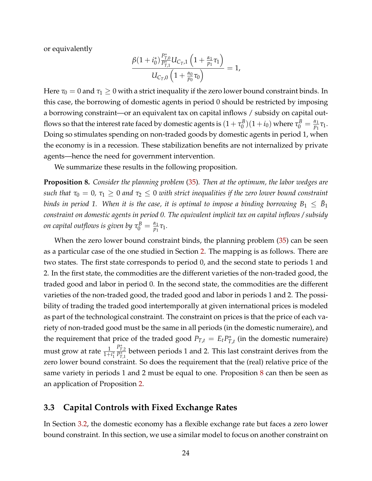or equivalently

$$
\frac{\beta(1+i_0^*)\frac{P_{T,0}^*}{P_{T,1}^*}U_{C_T,1}\left(1+\frac{\alpha_1}{p_1}\tau_1\right)}{U_{C_T,0}\left(1+\frac{\alpha_0}{p_0}\tau_0\right)}=1,
$$

Here  $\tau_0 = 0$  and  $\tau_1 \geq 0$  with a strict inequality if the zero lower bound constraint binds. In this case, the borrowing of domestic agents in period 0 should be restricted by imposing a borrowing constraint—or an equivalent tax on capital inflows / subsidy on capital outflows so that the interest rate faced by domestic agents is  $(1+\tau_0^B$  $(\sigma_0^{B})(1+i_0)$  where  $\tau_0^{B}=\frac{\alpha_1}{p_1}$  $\frac{\alpha_1}{p_1}\tau_1.$ Doing so stimulates spending on non-traded goods by domestic agents in period 1, when the economy is in a recession. These stabilization benefits are not internalized by private agents—hence the need for government intervention.

We summarize these results in the following proposition.

<span id="page-23-0"></span>**Proposition 8.** *Consider the planning problem* [\(35\)](#page-21-0)*. Then at the optimum, the labor wedges are such that*  $\tau_0 = 0$ ,  $\tau_1 \geq 0$  *and*  $\tau_2 \leq 0$  *with strict inequalities if the zero lower bound constraint* binds in period 1. When it is the case, it is optimal to impose a binding borrowing  $B_1~\leq~\bar B_1$ *constraint on domestic agents in period 0. The equivalent implicit tax on capital inflows / subsidy on capital outflows is given by*  $\tau^B_0 = \frac{\alpha_1}{p_1}$  $\frac{\alpha_1}{p_1}$ τ<sub>1</sub>.

When the zero lower bound constraint binds, the planning problem [\(35\)](#page-21-0) can be seen as a particular case of the one studied in Section [2.](#page-4-1) The mapping is as follows. There are two states. The first state corresponds to period 0, and the second state to periods 1 and 2. In the first state, the commodities are the different varieties of the non-traded good, the traded good and labor in period 0. In the second state, the commodities are the different varieties of the non-traded good, the traded good and labor in periods 1 and 2. The possibility of trading the traded good intertemporally at given international prices is modeled as part of the technological constraint. The constraint on prices is that the price of each variety of non-traded good must be the same in all periods (in the domestic numeraire), and the requirement that price of the traded good  $P_{T,t} = E_t P_T^*$  $T_{J,t}^*$  (in the domestic numeraire) must grow at rate  $\frac{1}{1+i_1^*}$  $P_{\overline{T},2}^*$  between periods 1 and 2. This last constraint derives from the zero lower bound constraint. So does the requirement that the (real) relative price of the same variety in periods 1 and 2 must be equal to one. Proposition [8](#page-23-0) can then be seen as an application of Proposition [2.](#page-8-2)

#### <span id="page-23-1"></span>**3.3 Capital Controls with Fixed Exchange Rates**

In Section [3.2,](#page-16-1) the domestic economy has a flexible exchange rate but faces a zero lower bound constraint. In this section, we use a similar model to focus on another constraint on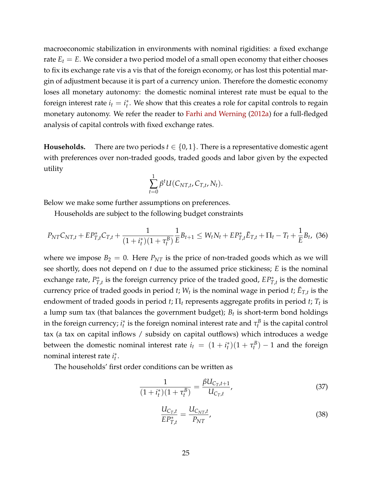macroeconomic stabilization in environments with nominal rigidities: a fixed exchange rate  $E_t = E$ . We consider a two period model of a small open economy that either chooses to fix its exchange rate vis a vis that of the foreign economy, or has lost this potential margin of adjustment because it is part of a currency union. Therefore the domestic economy loses all monetary autonomy: the domestic nominal interest rate must be equal to the foreign interest rate  $i_t = i_t^*$  $_t^*$ . We show that this creates a role for capital controls to regain monetary autonomy. We refer the reader to [Farhi and Werning](#page-33-3) [\(2012a\)](#page-33-3) for a full-fledged analysis of capital controls with fixed exchange rates.

**Households.** There are two periods  $t \in \{0, 1\}$ . There is a representative domestic agent with preferences over non-traded goods, traded goods and labor given by the expected utility

$$
\sum_{t=0}^1 \beta^t U(C_{NT,t}, C_{T,t}, N_t).
$$

Below we make some further assumptions on preferences.

Households are subject to the following budget constraints

<span id="page-24-0"></span>
$$
P_{NT}C_{NT,t} + EP_{T,t}^*C_{T,t} + \frac{1}{(1+i_t^*)(1+\tau_t^B)}\frac{1}{E}B_{t+1} \le W_tN_t + EP_{T,t}^*\bar{E}_{T,t} + \Pi_t - T_t + \frac{1}{E}B_t, \tag{36}
$$

where we impose  $B_2 = 0$ . Here  $P_{NT}$  is the price of non-traded goods which as we will see shortly, does not depend on *t* due to the assumed price stickiness; *E* is the nominal exchange rate, *P* ∗  $T_{T,t}^*$  is the foreign currency price of the traded good,  $EP_{T,t}^*$  is the domestic currency price of traded goods in period *t*;  $W_t$  is the nominal wage in period *t*;  $\bar{E}_{T,t}$  is the endowment of traded goods in period *t*;  $\Pi_t$  represents aggregate profits in period *t*;  $T_t$  is a lump sum tax (that balances the government budget); *B<sup>t</sup>* is short-term bond holdings in the foreign currency; *i* ∗  $\tau_t^*$  is the foreign nominal interest rate and  $\tau_t^B$  is the capital control tax (a tax on capital inflows / subsidy on capital outflows) which introduces a wedge between the domestic nominal interest rate  $i_t = (1 + i_t^*)$  $\tau_t^*$ ) $(1 + \tau_t^B) - 1$  and the foreign nominal interest rate *i* ∗ *t* .

The households' first order conditions can be written as

<span id="page-24-1"></span>
$$
\frac{1}{(1+i_t^*)(1+\tau_t^B)} = \frac{\beta U_{C_T,t+1}}{U_{C_T,t}},
$$
\n(37)

<span id="page-24-2"></span>
$$
\frac{U_{C_T,t}}{EP_{T,t}^*} = \frac{U_{C_{NT},t}}{P_{NT}},
$$
\n(38)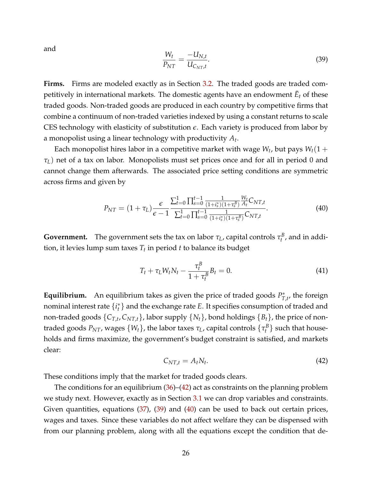and

<span id="page-25-1"></span>
$$
\frac{W_t}{P_{NT}} = \frac{-U_{N,t}}{U_{C_{NT},t}}.\tag{39}
$$

Firms. Firms are modeled exactly as in Section [3.2.](#page-16-1) The traded goods are traded competitively in international markets. The domestic agents have an endowment  $\bar{E}_t$  of these traded goods. Non-traded goods are produced in each country by competitive firms that combine a continuum of non-traded varieties indexed by using a constant returns to scale CES technology with elasticity of substitution *e*. Each variety is produced from labor by a monopolist using a linear technology with productivity *A<sup>t</sup>* .

Each monopolist hires labor in a competitive market with wage  $W_t$ , but pays  $W_t(1 +$ *τL*) net of a tax on labor. Monopolists must set prices once and for all in period 0 and cannot change them afterwards. The associated price setting conditions are symmetric across firms and given by

<span id="page-25-2"></span>
$$
P_{NT} = (1 + \tau_L) \frac{\epsilon}{\epsilon - 1} \frac{\sum_{t=0}^{1} \prod_{s=0}^{t-1} \frac{1}{(1 + i_s^*) (1 + \tau_s^B)} \frac{W_t}{A_t} C_{NT,t}}{\sum_{t=0}^{1} \prod_{s=0}^{t-1} \frac{1}{(1 + i_s^*) (1 + \tau_s^B)} C_{NT,t}}.
$$
(40)

**Government.** The government sets the tax on labor  $\tau_L$ , capital controls  $\tau_t^B$ , and in addition, it levies lump sum taxes *T<sup>t</sup>* in period *t* to balance its budget

$$
T_t + \tau_L W_t N_t - \frac{\tau_t^B}{1 + \tau_t^B} B_t = 0.
$$
\n
$$
(41)
$$

**Equilibrium.** An equilibrium takes as given the price of traded goods  $P_T^*$  $T_{,t}^{\ast}$ , the foreign nominal interest rate {*i* ∗ *t* } and the exchange rate *E*. It specifies consumption of traded and non-traded goods {*CT*,*<sup>t</sup>* , *CNT*,*t*}, labor supply {*Nt*}, bond holdings {*Bt*}, the price of nontraded goods  $P_{NT}$ , wages  $\{W_t\}$ , the labor taxes  $\tau_L$ , capital controls  $\{\tau_t^B\}$  such that households and firms maximize, the government's budget constraint is satisfied, and markets clear:

<span id="page-25-0"></span>
$$
C_{NT,t} = A_t N_t. \tag{42}
$$

These conditions imply that the market for traded goods clears.

The conditions for an equilibrium  $(36)$ – $(42)$  act as constraints on the planning problem we study next. However, exactly as in Section [3.1](#page-10-0) we can drop variables and constraints. Given quantities, equations [\(37\)](#page-24-1), [\(39\)](#page-25-1) and [\(40\)](#page-25-2) can be used to back out certain prices, wages and taxes. Since these variables do not affect welfare they can be dispensed with from our planning problem, along with all the equations except the condition that de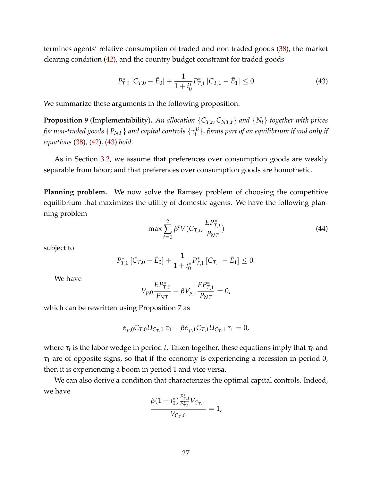termines agents' relative consumption of traded and non traded goods [\(38\)](#page-24-2), the market clearing condition [\(42\)](#page-25-0), and the country budget constraint for traded goods

<span id="page-26-0"></span>
$$
P_{T,0}^* \left[ C_{T,0} - \bar{E}_0 \right] + \frac{1}{1 + i_0^*} P_{T,1}^* \left[ C_{T,1} - \bar{E}_1 \right] \le 0 \tag{43}
$$

We summarize these arguments in the following proposition.

**Proposition 9** (Implementability)**.** *An allocation* {*CT*,*<sup>t</sup>* , *CNT*,*t*} *and* {*Nt*} *together with prices for non-traded goods* {*PNT*} *and capital controls* {*τ B t* }*, forms part of an equilibrium if and only if equations* [\(38\)](#page-24-2)*,* [\(42\)](#page-25-0)*,* [\(43\)](#page-26-0) *hold.*

As in Section [3.2,](#page-16-1) we assume that preferences over consumption goods are weakly separable from labor; and that preferences over consumption goods are homothetic.

**Planning problem.** We now solve the Ramsey problem of choosing the competitive equilibrium that maximizes the utility of domestic agents. We have the following planning problem

<span id="page-26-1"></span>
$$
\max \sum_{t=0}^{2} \beta^t V(C_{T,t}, \frac{E P_{T,t}^*}{P_{NT}})
$$
\n(44)

subject to

$$
P_{T,0}^*\left[C_{T,0}-\bar{E}_0\right]+\frac{1}{1+i_0^*}P_{T,1}^*\left[C_{T,1}-\bar{E}_1\right]\leq 0.
$$

We have

$$
V_{p,0}\frac{EP_{T,0}^*}{P_{NT}} + \beta V_{p,1}\frac{EP_{T,1}^*}{P_{NT}} = 0,
$$

which can be rewritten using Proposition [7](#page-21-1) as

$$
\alpha_{p,0}C_{T,0}U_{C_T,0}\tau_0+\beta\alpha_{p,1}C_{T,1}U_{C_T,1}\tau_1=0,
$$

where  $\tau_t$  is the labor wedge in period  $t.$  Taken together, these equations imply that  $\tau_0$  and *τ*<sup>1</sup> are of opposite signs, so that if the economy is experiencing a recession in period 0, then it is experiencing a boom in period 1 and vice versa.

We can also derive a condition that characterizes the optimal capital controls. Indeed, we have ∗

$$
\frac{\beta(1+i_0^*)\frac{P_{T,0}^*}{P_{T,1}^*}V_{C_T,1}}{V_{C_T,0}}=1,
$$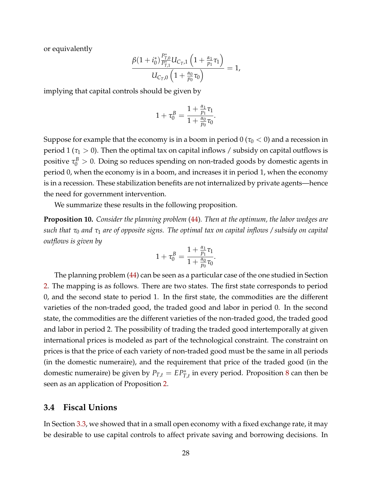or equivalently

$$
\frac{\beta(1+i_0^*)\frac{P_{T,0}^*}{P_{T,1}^*}U_{C_T,1}\left(1+\frac{\alpha_1}{p_1}\tau_1\right)}{U_{C_T,0}\left(1+\frac{\alpha_0}{p_0}\tau_0\right)}=1,
$$

implying that capital controls should be given by

$$
1+\tau_0^B=\frac{1+\frac{\alpha_1}{p_1}\tau_1}{1+\frac{\alpha_0}{p_0}\tau_0}.
$$

Suppose for example that the economy is in a boom in period  $0 \, (\tau_0 < 0)$  and a recession in period 1 ( $\tau_1 > 0$ ). Then the optimal tax on capital inflows / subsidy on capital outflows is positive  $\tau_0^B > 0$ . Doing so reduces spending on non-traded goods by domestic agents in period 0, when the economy is in a boom, and increases it in period 1, when the economy is in a recession. These stabilization benefits are not internalized by private agents—hence the need for government intervention.

We summarize these results in the following proposition.

**Proposition 10.** *Consider the planning problem* [\(44\)](#page-26-1)*. Then at the optimum, the labor wedges are such that τ*<sup>0</sup> *and τ*<sup>1</sup> *are of opposite signs. The optimal tax on capital inflows / subsidy on capital outflows is given by*

$$
1+\tau_0^{\text{B}}=\frac{1+\frac{\alpha_1}{p_1}\tau_1}{1+\frac{\alpha_0}{p_0}\tau_0}.
$$

The planning problem [\(44\)](#page-26-1) can be seen as a particular case of the one studied in Section [2.](#page-4-1) The mapping is as follows. There are two states. The first state corresponds to period 0, and the second state to period 1. In the first state, the commodities are the different varieties of the non-traded good, the traded good and labor in period 0. In the second state, the commodities are the different varieties of the non-traded good, the traded good and labor in period 2. The possibility of trading the traded good intertemporally at given international prices is modeled as part of the technological constraint. The constraint on prices is that the price of each variety of non-traded good must be the same in all periods (in the domestic numeraire), and the requirement that price of the traded good (in the domestic numeraire) be given by  $P_{T,t} = EP_{T,t}^*$  in every period. Proposition [8](#page-23-0) can then be seen as an application of Proposition [2.](#page-8-2)

#### **3.4 Fiscal Unions**

In Section [3.3,](#page-23-1) we showed that in a small open economy with a fixed exchange rate, it may be desirable to use capital controls to affect private saving and borrowing decisions. In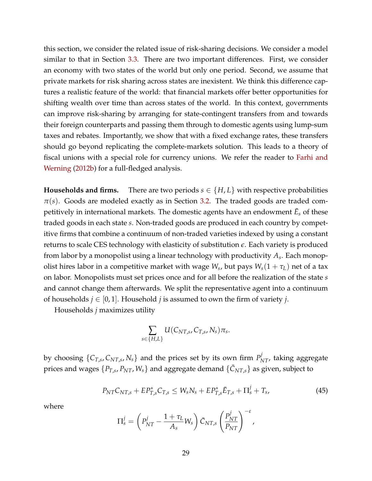this section, we consider the related issue of risk-sharing decisions. We consider a model similar to that in Section [3.3.](#page-23-1) There are two important differences. First, we consider an economy with two states of the world but only one period. Second, we assume that private markets for risk sharing across states are inexistent. We think this difference captures a realistic feature of the world: that financial markets offer better opportunities for shifting wealth over time than across states of the world. In this context, governments can improve risk-sharing by arranging for state-contingent transfers from and towards their foreign counterparts and passing them through to domestic agents using lump-sum taxes and rebates. Importantly, we show that with a fixed exchange rates, these transfers should go beyond replicating the complete-markets solution. This leads to a theory of fiscal unions with a special role for currency unions. We refer the reader to [Farhi and](#page-33-4) [Werning](#page-33-4) [\(2012b\)](#page-33-4) for a full-fledged analysis.

**Households and firms.** There are two periods  $s \in \{H, L\}$  with respective probabilities  $\pi(s)$ . Goods are modeled exactly as in Section [3.2.](#page-16-1) The traded goods are traded competitively in international markets. The domestic agents have an endowment  $\bar{E}_{s}$  of these traded goods in each state *s*. Non-traded goods are produced in each country by competitive firms that combine a continuum of non-traded varieties indexed by using a constant returns to scale CES technology with elasticity of substitution *e*. Each variety is produced from labor by a monopolist using a linear technology with productivity *A<sup>s</sup>* . Each monopolist hires labor in a competitive market with wage  $W_s$ , but pays  $W_s(1+\tau_L)$  net of a tax on labor. Monopolists must set prices once and for all before the realization of the state *s* and cannot change them afterwards. We split the representative agent into a continuum of households  $j \in [0, 1]$ . Household *j* is assumed to own the firm of variety *j*.

Households *j* maximizes utility

$$
\sum_{s\in\{H,L\}} U(C_{NT,s},C_{T,s},N_s)\pi_s.
$$

by choosing  $\{C_{T,s}, C_{NT,s}, N_s\}$  and the prices set by its own firm  $P^j_{NT}$ , taking aggregate prices and wages  $\{P_{T,s}, P_{NT}, W_s\}$  and aggregate demand  $\{\bar{\mathcal{C}}_{NT,s}\}$  as given, subject to

<span id="page-28-0"></span>
$$
P_{NT}C_{NT,s} + EP_{T,s}^{*}C_{T,s} \le W_s N_s + EP_{T,s}^{*}\bar{E}_{T,s} + \Pi_s^j + T_s, \tag{45}
$$

where

$$
\Pi_s^j = \left( P_{NT}^j - \frac{1 + \tau_L}{A_s} W_s \right) \bar{C}_{NT,s} \left( \frac{P_{NT}^j}{P_{NT}} \right)^{-\varepsilon},
$$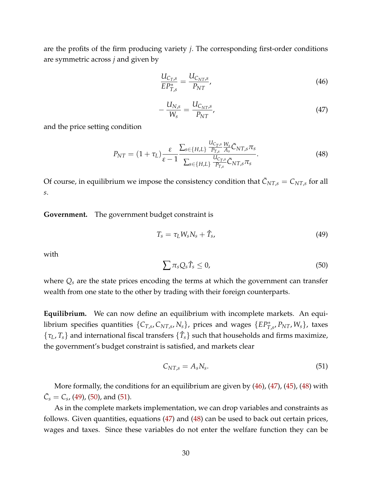are the profits of the firm producing variety *j*. The corresponding first-order conditions are symmetric across *j* and given by

<span id="page-29-0"></span>
$$
\frac{U_{C_T,s}}{EP_{T,s}^*} = \frac{U_{C_{NT},s}}{P_{NT}},\tag{46}
$$

<span id="page-29-1"></span>
$$
-\frac{U_{N,s}}{W_s} = \frac{U_{C_{NT},s}}{P_{NT}},\tag{47}
$$

and the price setting condition

<span id="page-29-2"></span>
$$
P_{NT} = (1 + \tau_L) \frac{\varepsilon}{\varepsilon - 1} \frac{\sum_{s \in \{H, L\}} \frac{U_{C_{T,s}}}{P_{T,s}} \frac{W_s}{A_s} \bar{C}_{NT,s} \pi_s}{\sum_{s \in \{H, L\}} \frac{U_{C_{T,s}}}{P_{T,s}} \bar{C}_{NT,s} \pi_s}.
$$
(48)

Of course, in equilibrium we impose the consistency condition that  $\bar{C}_{NT,s} = C_{NT,s}$  for all *s*.

**Government.** The government budget constraint is

<span id="page-29-3"></span>
$$
T_s = \tau_L W_s N_s + \hat{T}_s, \tag{49}
$$

with

<span id="page-29-4"></span>
$$
\sum \pi_s Q_s \hat{T}_s \leq 0,\tag{50}
$$

where *Q<sup>s</sup>* are the state prices encoding the terms at which the government can transfer wealth from one state to the other by trading with their foreign counterparts.

**Equilibrium.** We can now define an equilibrium with incomplete markets. An equilibrium specifies quantities  $\{C_{T,s}, C_{NT,s}, N_s\}$ , prices and wages  $\{EP^*_{T,s}, P_{NT}, W_s\}$ , taxes  $\{\tau_L, T_s\}$  and international fiscal transfers  $\{\hat{T}_s\}$  such that households and firms maximize, the government's budget constraint is satisfied, and markets clear

<span id="page-29-5"></span>
$$
C_{NT,s} = A_s N_s. \tag{51}
$$

More formally, the conditions for an equilibrium are given by  $(46)$ ,  $(47)$ ,  $(45)$ ,  $(48)$  with  $\bar{C}_s = C_s$ , [\(49\)](#page-29-3), [\(50\)](#page-29-4), and [\(51\)](#page-29-5).

As in the complete markets implementation, we can drop variables and constraints as follows. Given quantities, equations [\(47\)](#page-29-1) and [\(48\)](#page-29-2) can be used to back out certain prices, wages and taxes. Since these variables do not enter the welfare function they can be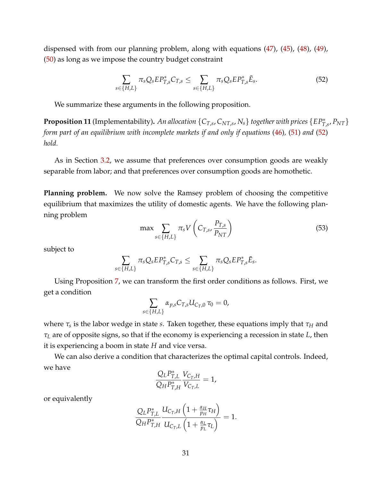dispensed with from our planning problem, along with equations [\(47\)](#page-29-1), [\(45\)](#page-28-0), [\(48\)](#page-29-2), [\(49\)](#page-29-3), [\(50\)](#page-29-4) as long as we impose the country budget constraint

<span id="page-30-0"></span>
$$
\sum_{s \in \{H,L\}} \pi_s Q_s E P_{T,s}^* C_{T,s} \le \sum_{s \in \{H,L\}} \pi_s Q_s E P_{T,s}^* \bar{E}_s. \tag{52}
$$

We summarize these arguments in the following proposition.

**Proposition 11** (Implementability). An allocation  $\{C_{T,s}, C_{NT,s}, N_s\}$  together with prices  $\{EP^*_{T,s}, P_{NT}\}$ *form part of an equilibrium with incomplete markets if and only if equations* [\(46\)](#page-29-0)*,* [\(51\)](#page-29-5) *and* [\(52\)](#page-30-0) *hold.*

As in Section [3.2,](#page-16-1) we assume that preferences over consumption goods are weakly separable from labor; and that preferences over consumption goods are homothetic.

**Planning problem.** We now solve the Ramsey problem of choosing the competitive equilibrium that maximizes the utility of domestic agents. We have the following planning problem

<span id="page-30-1"></span>
$$
\max \sum_{s \in \{H, L\}} \pi_s V \left( C_{T, s}, \frac{P_{T, s}}{P_{NT}} \right) \tag{53}
$$

subject to

$$
\sum_{s\in\{H,L\}}\pi_s Q_s EP^*_{T,s}C_{T,s}\leq \sum_{s\in\{H,L\}}\pi_s Q_s EP^*_{T,s}\bar{E}_s.
$$

Using Proposition [7,](#page-21-1) we can transform the first order conditions as follows. First, we get a condition

$$
\sum_{s\in\{H,L\}}\alpha_{p,s}C_{T,s}U_{C_T,0}\,\tau_0=0,
$$

where *τ<sup>s</sup>* is the labor wedge in state *s*. Taken together, these equations imply that *τ<sup>H</sup>* and *τ<sup>L</sup>* are of opposite signs, so that if the economy is experiencing a recession in state *L*, then it is experiencing a boom in state *H* and vice versa.

We can also derive a condition that characterizes the optimal capital controls. Indeed, we have

$$
\frac{Q_{L}P_{T,L}^{*}}{Q_{H}P_{T,H}^{*}}\frac{V_{C_{T},H}}{V_{C_{T},L}}=1,
$$

or equivalently

$$
\frac{Q_{L}P_{T,L}^{*}}{Q_{H}P_{T,H}^{*}}\frac{U_{C_{T},H}\left(1+\frac{\alpha_{H}}{p_{H}}\tau_{H}\right)}{U_{C_{T},L}\left(1+\frac{\alpha_{L}}{p_{L}}\tau_{L}\right)}=1.
$$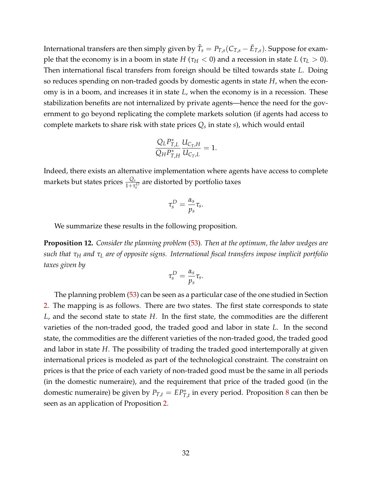International transfers are then simply given by  $\hat{T}_s = P_{T,s}(C_{T,s} - \bar{E}_{T,s})$ . Suppose for example that the economy is in a boom in state *H* ( $\tau_H$  < 0) and a recession in state *L* ( $\tau_L$  > 0). Then international fiscal transfers from foreign should be tilted towards state *L*. Doing so reduces spending on non-traded goods by domestic agents in state *H*, when the economy is in a boom, and increases it in state *L*, when the economy is in a recession. These stabilization benefits are not internalized by private agents—hence the need for the government to go beyond replicating the complete markets solution (if agents had access to complete markets to share risk with state prices *Q<sup>s</sup>* in state *s*), which would entail

$$
\frac{Q_{L}P_{T,L}^{*}}{Q_{H}P_{T,H}^{*}}\frac{U_{C_{T},H}}{U_{C_{T},L}}=1.
$$

Indeed, there exists an alternative implementation where agents have access to complete markets but states prices  $\frac{Q_s}{1+\tau_s^D}$  are distorted by portfolio taxes

$$
\tau_s^D = \frac{\alpha_s}{p_s} \tau_s.
$$

We summarize these results in the following proposition.

**Proposition 12.** *Consider the planning problem* [\(53\)](#page-30-1)*. Then at the optimum, the labor wedges are such that τ<sup>H</sup> and τ<sup>L</sup> are of opposite signs. International fiscal transfers impose implicit portfolio taxes given by*

$$
\tau_s^D = \frac{\alpha_s}{p_s} \tau_s.
$$

The planning problem [\(53\)](#page-30-1) can be seen as a particular case of the one studied in Section [2.](#page-4-1) The mapping is as follows. There are two states. The first state corresponds to state *L*, and the second state to state *H*. In the first state, the commodities are the different varieties of the non-traded good, the traded good and labor in state *L*. In the second state, the commodities are the different varieties of the non-traded good, the traded good and labor in state *H*. The possibility of trading the traded good intertemporally at given international prices is modeled as part of the technological constraint. The constraint on prices is that the price of each variety of non-traded good must be the same in all periods (in the domestic numeraire), and the requirement that price of the traded good (in the domestic numeraire) be given by  $P_{T,t} = EP_{T,t}^*$  in every period. Proposition [8](#page-23-0) can then be seen as an application of Proposition [2.](#page-8-2)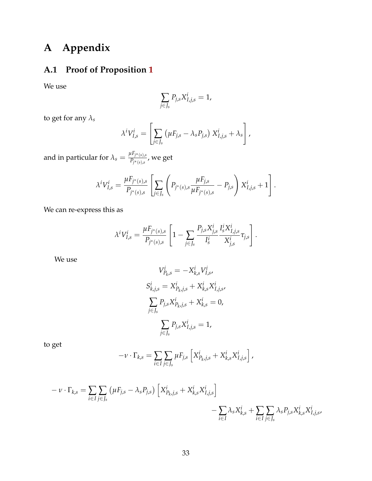## **A Appendix**

## **A.1 Proof of Proposition [1](#page-7-1)**

We use

$$
\sum_{j\in J_s} P_{j,s} X_{I,j,s}^i = 1,
$$

to get for any  $\lambda_s$ 

$$
\lambda^i V^i_{I,s} = \left[ \sum_{j \in J_s} \left( \mu F_{j,s} - \lambda_s P_{j,s} \right) X^i_{I,j,s} + \lambda_s \right],
$$

and in particular for  $\lambda_s = \frac{\mu F_{j^*(s),s}}{P_{j^*(s),s}}$  $\frac{P_{f^*(s),s}}{P_{f^*(s),s}}$ , we get

$$
\lambda^{i}V_{I,s}^{i} = \frac{\mu F_{j^{*}(s),s}}{P_{j^{*}(s),s}} \left[ \sum_{j \in J_s} \left( P_{j^{*}(s),s} \frac{\mu F_{j,s}}{\mu F_{j^{*}(s),s}} - P_{j,s} \right) X_{I,j,s}^{i} + 1 \right].
$$

We can re-express this as

$$
\lambda^{i}V_{I,s}^{i} = \frac{\mu F_{j^{*}(s),s}}{P_{j^{*}(s),s}} \left[1 - \sum_{j \in J_s} \frac{P_{j,s} X_{j,s}^{i}}{I_s^{i}} \frac{I_s^{i} X_{I,j,s}^{i}}{X_{j,s}^{i}} \tau_{j,s}\right].
$$

We use

$$
V_{P_{k},s}^{i} = -X_{k,s}^{i} V_{I,s}^{i},
$$
  
\n
$$
S_{k,j,s}^{i} = X_{P_{k},j,s}^{i} + X_{k,s}^{i} X_{I,j,s}^{i},
$$
  
\n
$$
\sum_{j \in J_{s}} P_{j,s} X_{P_{k},j,s}^{i} + X_{k,s}^{i} = 0,
$$
  
\n
$$
\sum_{j \in J_{s}} P_{j,s} X_{I,j,s}^{i} = 1,
$$

to get

$$
-\nu \cdot \Gamma_{k,s} = \sum_{i \in I} \sum_{j \in J_s} \mu F_{j,s} \left[ X_{P_k,j,s}^i + X_{k,s}^i X_{I,j,s}^i \right],
$$

$$
- \nu \cdot \Gamma_{k,s} = \sum_{i \in I} \sum_{j \in J_s} (\mu F_{j,s} - \lambda_s P_{j,s}) \left[ X_{P_{k,j,s}}^i + X_{k,s}^i X_{I,j,s}^i \right] - \sum_{i \in I} \lambda_s X_{k,s}^i + \sum_{i \in I} \sum_{j \in J_s} \lambda_s P_{j,s} X_{k,s}^i X_{I,j,s}^i
$$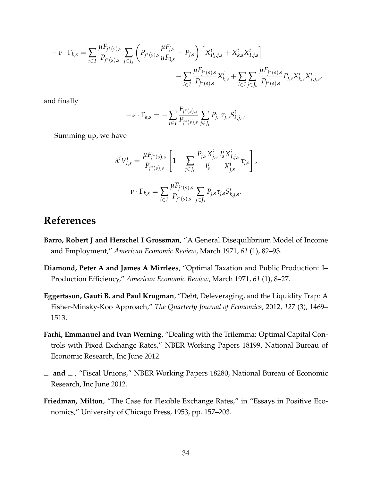$$
- \nu \cdot \Gamma_{k,s} = \sum_{i \in I} \frac{\mu F_{j^*(s),s}}{P_{j^*(s),s}} \sum_{j \in J_s} \left( P_{j^*(s),s} \frac{\mu F_{j,s}}{\mu F_{0,s}} - P_{j,s} \right) \left[ X_{P_k,j,s}^i + X_{k,s}^i X_{I,j,s}^i \right] - \sum_{i \in I} \frac{\mu F_{j^*(s),s}}{P_{j^*(s),s}} X_{k,s}^i + \sum_{i \in I} \sum_{j \in J_s} \frac{\mu F_{j^*(s),s}}{P_{j^*(s),s}} P_{j,s} X_{k,s}^i X_{I,j,s}^i
$$

and finally

$$
-\nu \cdot \Gamma_{k,s} = -\sum_{i \in I} \frac{F_{j^*(s),s}}{P_{j^*(s),s}} \sum_{j \in J_s} P_{j,s} \tau_{j,s} S_{k,j,s}^i.
$$

Summing up, we have

$$
\lambda^{i}V_{I,s}^{i} = \frac{\mu F_{j^{*}(s),s}}{P_{j^{*}(s),s}} \left[1 - \sum_{j \in J_s} \frac{P_{j,s}X_{j,s}^{i}}{I_s^{i}} \frac{I_s^{i}X_{I,j,s}^{i}}{X_{j,s}^{i}} \tau_{j,s}\right],
$$
  

$$
\nu \cdot \Gamma_{k,s} = \sum_{i \in I} \frac{\mu F_{j^{*}(s),s}}{P_{j^{*}(s),s}} \sum_{j \in J_s} P_{j,s} \tau_{j,s} S_{k,j,s}^{i}.
$$

### **References**

- <span id="page-33-1"></span>**Barro, Robert J and Herschel I Grossman**, "A General Disequilibrium Model of Income and Employment," *American Economic Review*, March 1971, *61* (1), 82–93.
- <span id="page-33-5"></span>**Diamond, Peter A and James A Mirrlees**, "Optimal Taxation and Public Production: I– Production Efficiency," *American Economic Review*, March 1971, *61* (1), 8–27.
- <span id="page-33-2"></span>**Eggertsson, Gauti B. and Paul Krugman**, "Debt, Deleveraging, and the Liquidity Trap: A Fisher-Minsky-Koo Approach," *The Quarterly Journal of Economics*, 2012, *127* (3), 1469– 1513.
- <span id="page-33-3"></span>**Farhi, Emmanuel and Ivan Werning**, "Dealing with the Trilemma: Optimal Capital Controls with Fixed Exchange Rates," NBER Working Papers 18199, National Bureau of Economic Research, Inc June 2012.
- <span id="page-33-4"></span> $\mu$  and  $\mu$ , "Fiscal Unions," NBER Working Papers 18280, National Bureau of Economic Research, Inc June 2012.
- <span id="page-33-0"></span>**Friedman, Milton**, "The Case for Flexible Exchange Rates," in "Essays in Positive Economics," University of Chicago Press, 1953, pp. 157–203.